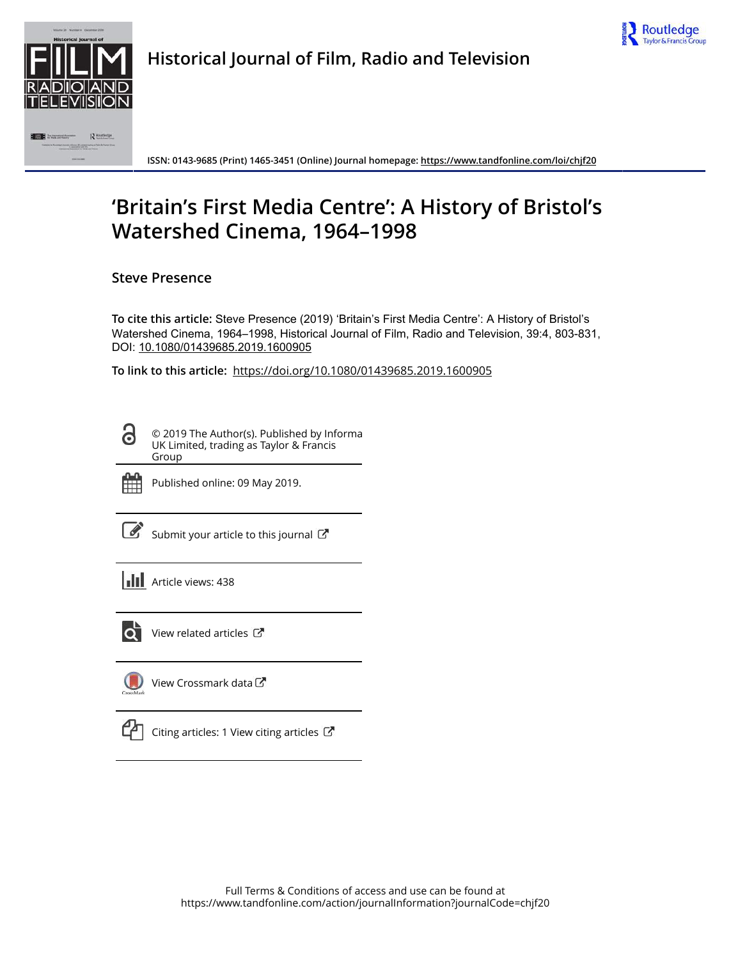



**Historical Journal of Film, Radio and Television**

**ISSN: 0143-9685 (Print) 1465-3451 (Online) Journal homepage:<https://www.tandfonline.com/loi/chjf20>**

## **'Britain's First Media Centre': A History of Bristol's Watershed Cinema, 1964–1998**

**Steve Presence**

**To cite this article:** Steve Presence (2019) 'Britain's First Media Centre': A History of Bristol's Watershed Cinema, 1964–1998, Historical Journal of Film, Radio and Television, 39:4, 803-831, DOI: [10.1080/01439685.2019.1600905](https://www.tandfonline.com/action/showCitFormats?doi=10.1080/01439685.2019.1600905)

**To link to this article:** <https://doi.org/10.1080/01439685.2019.1600905>

© 2019 The Author(s). Published by Informa UK Limited, trading as Taylor & Francis Group



പ്പ

Published online: 09 May 2019.

[Submit your article to this journal](https://www.tandfonline.com/action/authorSubmission?journalCode=chjf20&show=instructions)  $\mathbb{Z}^n$ 





View related articles



[View Crossmark data](http://crossmark.crossref.org/dialog/?doi=10.1080/01439685.2019.1600905&domain=pdf&date_stamp=2019-05-09)



Citing articles: 1 View citing articles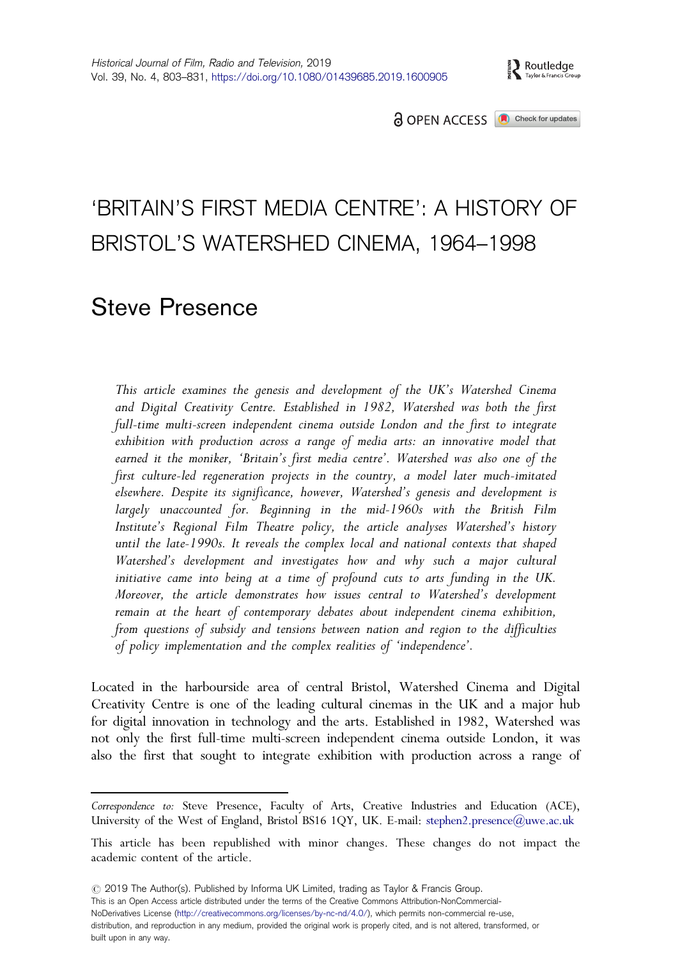

**a** OPEN ACCESS **a** Check for updates

# 'BRITAIN'S FIRST MEDIA CENTRE': A HISTORY OF BRISTOL'S WATERSHED CINEMA, 1964–1998

## Steve Presence

This article examines the genesis and development of the UK's Watershed Cinema and Digital Creativity Centre. Established in 1982, Watershed was both the first full-time multi-screen independent cinema outside London and the first to integrate exhibition with production across a range of media arts: an innovative model that earned it the moniker, 'Britain's first media centre'. Watershed was also one of the first culture-led regeneration projects in the country, a model later much-imitated elsewhere. Despite its significance, however, Watershed's genesis and development is largely unaccounted for. Beginning in the mid-1960s with the British Film Institute's Regional Film Theatre policy, the article analyses Watershed's history until the late-1990s. It reveals the complex local and national contexts that shaped Watershed's development and investigates how and why such a major cultural initiative came into being at a time of profound cuts to arts funding in the UK. Moreover, the article demonstrates how issues central to Watershed's development remain at the heart of contemporary debates about independent cinema exhibition, from questions of subsidy and tensions between nation and region to the difficulties of policy implementation and the complex realities of 'independence'.

Located in the harbourside area of central Bristol, Watershed Cinema and Digital Creativity Centre is one of the leading cultural cinemas in the UK and a major hub for digital innovation in technology and the arts. Established in 1982, Watershed was not only the first full-time multi-screen independent cinema outside London, it was also the first that sought to integrate exhibition with production across a range of

© 2019 The Author(s). Published by Informa UK Limited, trading as Taylor & Francis Group.

This is an Open Access article distributed under the terms of the Creative Commons Attribution-NonCommercial-

NoDerivatives License (http://creativecommons.org/licenses/by-nc-nd/4.0/), which permits non-commercial re-use,

Correspondence to: Steve Presence, Faculty of Arts, Creative Industries and Education (ACE), University of the West of England, Bristol BS16 1QY, UK. E-mail: stephen2.presence@uwe.ac.uk

This article has been republished with minor changes. These changes do not impact the academic content of the article.

distribution, and reproduction in any medium, provided the original work is properly cited, and is not altered, transformed, or built upon in any way.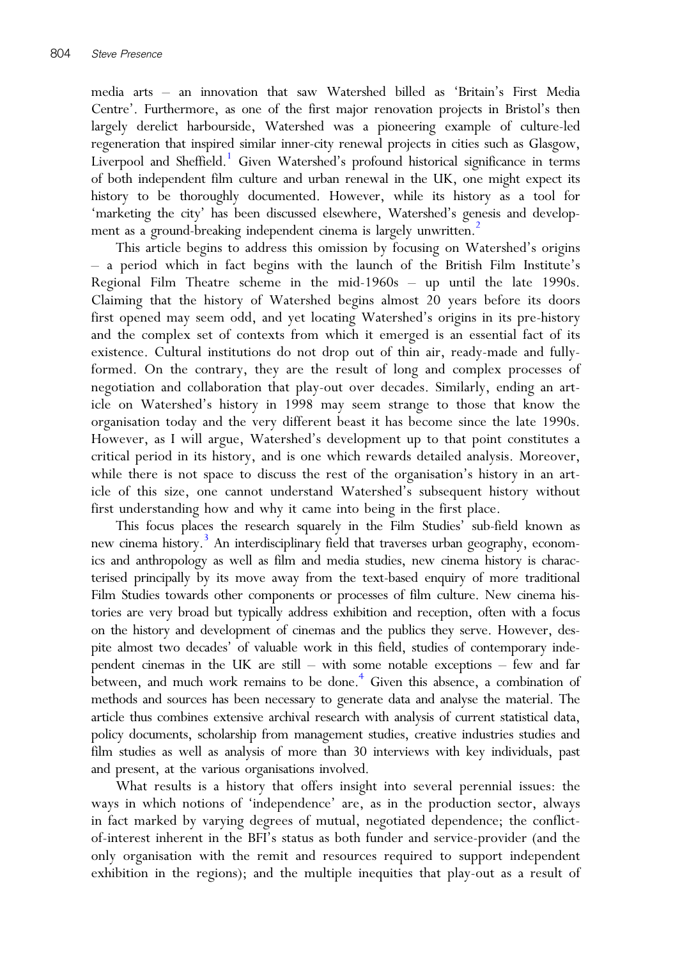media arts – an innovation that saw Watershed billed as 'Britain's First Media Centre'. Furthermore, as one of the first major renovation projects in Bristol's then largely derelict harbourside, Watershed was a pioneering example of culture-led regeneration that inspired similar inner-city renewal projects in cities such as Glasgow, Liverpool and Sheffield.<sup>1</sup> Given Watershed's profound historical significance in terms of both independent film culture and urban renewal in the UK, one might expect its history to be thoroughly documented. However, while its history as a tool for 'marketing the city' has been discussed elsewhere, Watershed's genesis and develop-ment as a ground-breaking independent cinema is largely unwritten.<sup>[2](#page-26-0)</sup>

This article begins to address this omission by focusing on Watershed's origins – a period which in fact begins with the launch of the British Film Institute's Regional Film Theatre scheme in the mid-1960s – up until the late 1990s. Claiming that the history of Watershed begins almost 20 years before its doors first opened may seem odd, and yet locating Watershed's origins in its pre-history and the complex set of contexts from which it emerged is an essential fact of its existence. Cultural institutions do not drop out of thin air, ready-made and fullyformed. On the contrary, they are the result of long and complex processes of negotiation and collaboration that play-out over decades. Similarly, ending an article on Watershed's history in 1998 may seem strange to those that know the organisation today and the very different beast it has become since the late 1990s. However, as I will argue, Watershed's development up to that point constitutes a critical period in its history, and is one which rewards detailed analysis. Moreover, while there is not space to discuss the rest of the organisation's history in an article of this size, one cannot understand Watershed's subsequent history without first understanding how and why it came into being in the first place.

This focus places the research squarely in the Film Studies' sub-field known as new cinema history.<sup>3</sup> An interdisciplinary field that traverses urban geography, economics and anthropology as well as film and media studies, new cinema history is characterised principally by its move away from the text-based enquiry of more traditional Film Studies towards other components or processes of film culture. New cinema histories are very broad but typically address exhibition and reception, often with a focus on the history and development of cinemas and the publics they serve. However, despite almost two decades' of valuable work in this field, studies of contemporary independent cinemas in the UK are still – with some notable exceptions – few and far between, and much work remains to be done.<sup>4</sup> Given this absence, a combination of methods and sources has been necessary to generate data and analyse the material. The article thus combines extensive archival research with analysis of current statistical data, policy documents, scholarship from management studies, creative industries studies and film studies as well as analysis of more than 30 interviews with key individuals, past and present, at the various organisations involved.

What results is a history that offers insight into several perennial issues: the ways in which notions of 'independence' are, as in the production sector, always in fact marked by varying degrees of mutual, negotiated dependence; the conflictof-interest inherent in the BFI's status as both funder and service-provider (and the only organisation with the remit and resources required to support independent exhibition in the regions); and the multiple inequities that play-out as a result of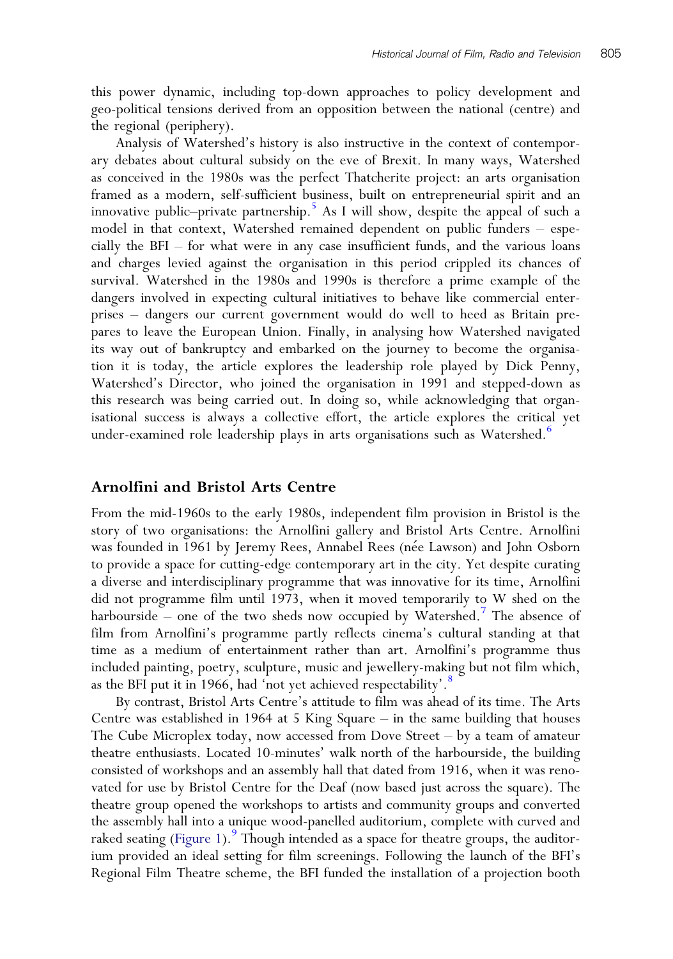this power dynamic, including top-down approaches to policy development and geo-political tensions derived from an opposition between the national (centre) and the regional (periphery).

Analysis of Watershed's history is also instructive in the context of contemporary debates about cultural subsidy on the eve of Brexit. In many ways, Watershed as conceived in the 1980s was the perfect Thatcherite project: an arts organisation framed as a modern, self-sufficient business, built on entrepreneurial spirit and an innovative public–private partnership. $\frac{5}{3}$  $\frac{5}{3}$  $\frac{5}{3}$  As I will show, despite the appeal of such a model in that context, Watershed remained dependent on public funders – especially the BFI – for what were in any case insufficient funds, and the various loans and charges levied against the organisation in this period crippled its chances of survival. Watershed in the 1980s and 1990s is therefore a prime example of the dangers involved in expecting cultural initiatives to behave like commercial enterprises – dangers our current government would do well to heed as Britain prepares to leave the European Union. Finally, in analysing how Watershed navigated its way out of bankruptcy and embarked on the journey to become the organisation it is today, the article explores the leadership role played by Dick Penny, Watershed's Director, who joined the organisation in 1991 and stepped-down as this research was being carried out. In doing so, while acknowledging that organisational success is always a collective effort, the article explores the critical yet under-examined role leadership plays in arts organisations such as Watershed.<sup>[6](#page-26-0)</sup>

#### Arnolfini and Bristol Arts Centre

From the mid-1960s to the early 1980s, independent film provision in Bristol is the story of two organisations: the Arnolfini gallery and Bristol Arts Centre. Arnolfini was founded in 1961 by Jeremy Rees, Annabel Rees (née Lawson) and John Osborn to provide a space for cutting-edge contemporary art in the city. Yet despite curating a diverse and interdisciplinary programme that was innovative for its time, Arnolfini did not programme film until 1973, when it moved temporarily to W shed on the harbourside – one of the two sheds now occupied by Watershed. $'$  The absence of film from Arnolfini's programme partly reflects cinema's cultural standing at that time as a medium of entertainment rather than art. Arnolfini's programme thus included painting, poetry, sculpture, music and jewellery-making but not film which, as the BFI put it in 1966, had 'not yet achieved respectability'.<sup>[8](#page-26-0)</sup>

By contrast, Bristol Arts Centre's attitude to film was ahead of its time. The Arts Centre was established in 1964 at 5 King Square – in the same building that houses The Cube Microplex today, now accessed from Dove Street – by a team of amateur theatre enthusiasts. Located 10-minutes' walk north of the harbourside, the building consisted of workshops and an assembly hall that dated from 1916, when it was renovated for use by Bristol Centre for the Deaf (now based just across the square). The theatre group opened the workshops to artists and community groups and converted the assembly hall into a unique wood-panelled auditorium, complete with curved and raked seating [\(Figure 1\)](#page-4-0).<sup>[9](#page-26-0)</sup> Though intended as a space for theatre groups, the auditorium provided an ideal setting for film screenings. Following the launch of the BFI's Regional Film Theatre scheme, the BFI funded the installation of a projection booth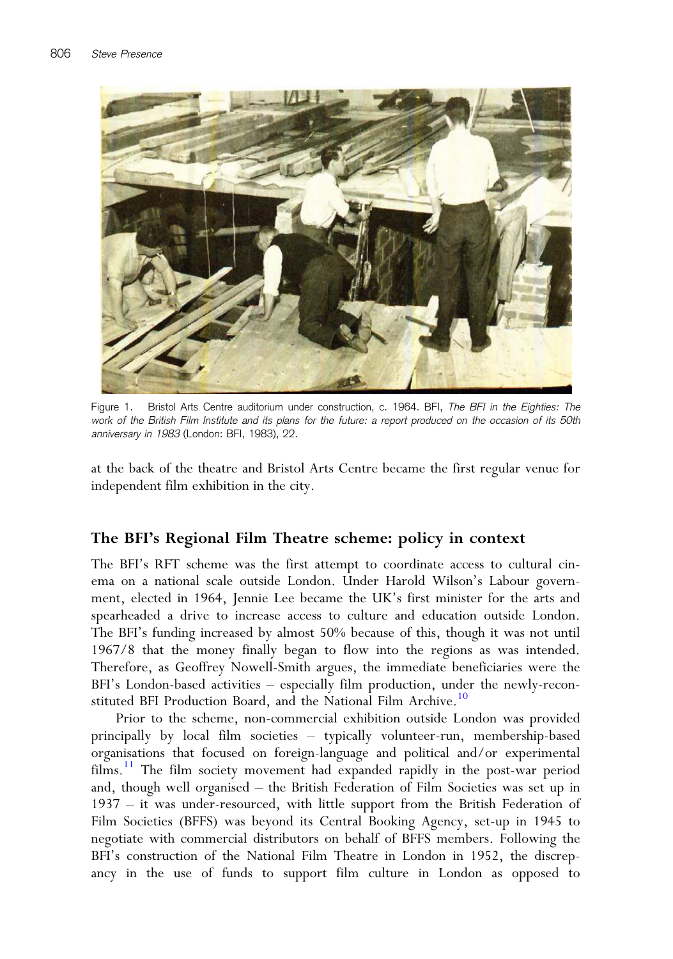<span id="page-4-0"></span>

Figure 1. Bristol Arts Centre auditorium under construction, c. 1964. BFI, The BFI in the Eighties: The work of the British Film Institute and its plans for the future: a report produced on the occasion of its 50th anniversary in 1983 (London: BFI, 1983), 22.

at the back of the theatre and Bristol Arts Centre became the first regular venue for independent film exhibition in the city.

## The BFI's Regional Film Theatre scheme: policy in context

The BFI's RFT scheme was the first attempt to coordinate access to cultural cinema on a national scale outside London. Under Harold Wilson's Labour government, elected in 1964, Jennie Lee became the UK's first minister for the arts and spearheaded a drive to increase access to culture and education outside London. The BFI's funding increased by almost 50% because of this, though it was not until 1967/8 that the money finally began to flow into the regions as was intended. Therefore, as Geoffrey Nowell-Smith argues, the immediate beneficiaries were the BFI's London-based activities – especially film production, under the newly-recon-stituted BFI Production Board, and the National Film Archive.<sup>[10](#page-26-0)</sup>

Prior to the scheme, non-commercial exhibition outside London was provided principally by local film societies – typically volunteer-run, membership-based organisations that focused on foreign-language and political and/or experimental films.<sup>11</sup> The film society movement had expanded rapidly in the post-war period and, though well organised – the British Federation of Film Societies was set up in 1937 – it was under-resourced, with little support from the British Federation of Film Societies (BFFS) was beyond its Central Booking Agency, set-up in 1945 to negotiate with commercial distributors on behalf of BFFS members. Following the BFI's construction of the National Film Theatre in London in 1952, the discrepancy in the use of funds to support film culture in London as opposed to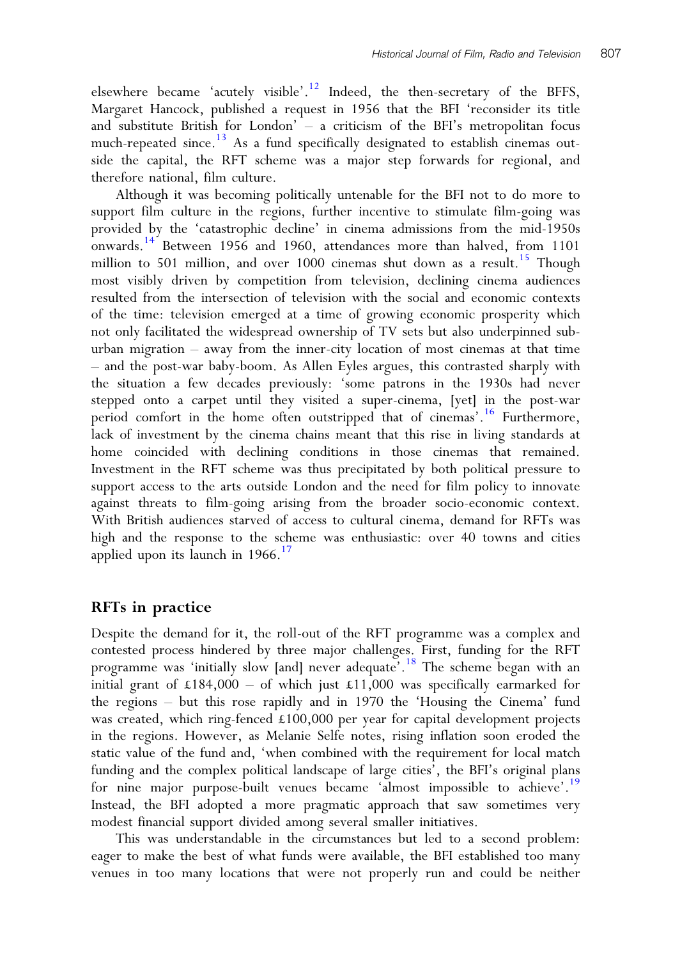elsewhere became 'acutely visible'.<sup>[12](#page-27-0)</sup> Indeed, the then-secretary of the BFFS, Margaret Hancock, published a request in 1956 that the BFI 'reconsider its title and substitute British for London' – a criticism of the BFI's metropolitan focus much-repeated since.<sup>13</sup> As a fund specifically designated to establish cinemas outside the capital, the RFT scheme was a major step forwards for regional, and therefore national, film culture.

Although it was becoming politically untenable for the BFI not to do more to support film culture in the regions, further incentive to stimulate film-going was provided by the 'catastrophic decline' in cinema admissions from the mid-1950s onwards.<sup>[14](#page-27-0)</sup> Between 1956 and 1960, attendances more than halved, from 1101 million to 501 million, and over 1000 cinemas shut down as a result.<sup>[15](#page-27-0)</sup> Though most visibly driven by competition from television, declining cinema audiences resulted from the intersection of television with the social and economic contexts of the time: television emerged at a time of growing economic prosperity which not only facilitated the widespread ownership of TV sets but also underpinned suburban migration – away from the inner-city location of most cinemas at that time – and the post-war baby-boom. As Allen Eyles argues, this contrasted sharply with the situation a few decades previously: 'some patrons in the 1930s had never stepped onto a carpet until they visited a super-cinema, [yet] in the post-war period comfort in the home often outstripped that of cinemas'.<sup>[16](#page-27-0)</sup> Furthermore, lack of investment by the cinema chains meant that this rise in living standards at home coincided with declining conditions in those cinemas that remained. Investment in the RFT scheme was thus precipitated by both political pressure to support access to the arts outside London and the need for film policy to innovate against threats to film-going arising from the broader socio-economic context. With British audiences starved of access to cultural cinema, demand for RFTs was high and the response to the scheme was enthusiastic: over 40 towns and cities applied upon its launch in  $1966$ .<sup>[17](#page-27-0)</sup>

#### RFTs in practice

Despite the demand for it, the roll-out of the RFT programme was a complex and contested process hindered by three major challenges. First, funding for the RFT programme was 'initially slow [and] never adequate<sup>7</sup>.<sup>[18](#page-27-0)</sup> The scheme began with an initial grant of £184,000 – of which just £11,000 was specifically earmarked for the regions – but this rose rapidly and in 1970 the 'Housing the Cinema' fund was created, which ring-fenced £100,000 per year for capital development projects in the regions. However, as Melanie Selfe notes, rising inflation soon eroded the static value of the fund and, 'when combined with the requirement for local match funding and the complex political landscape of large cities', the BFI's original plans for nine major purpose-built venues became 'almost impossible to achieve'.<sup>[19](#page-27-0)</sup> Instead, the BFI adopted a more pragmatic approach that saw sometimes very modest financial support divided among several smaller initiatives.

This was understandable in the circumstances but led to a second problem: eager to make the best of what funds were available, the BFI established too many venues in too many locations that were not properly run and could be neither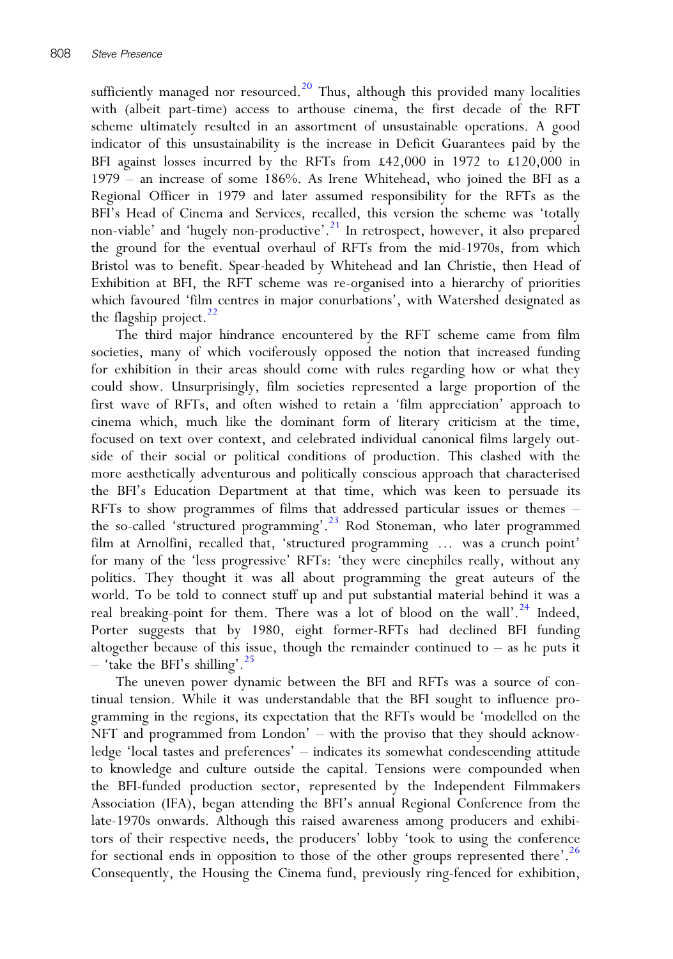sufficiently managed nor resourced.<sup>[20](#page-27-0)</sup> Thus, although this provided many localities with (albeit part-time) access to arthouse cinema, the first decade of the RFT scheme ultimately resulted in an assortment of unsustainable operations. A good indicator of this unsustainability is the increase in Deficit Guarantees paid by the BFI against losses incurred by the RFTs from £42,000 in 1972 to £120,000 in 1979 – an increase of some 186%. As Irene Whitehead, who joined the BFI as a Regional Officer in 1979 and later assumed responsibility for the RFTs as the BFI's Head of Cinema and Services, recalled, this version the scheme was 'totally non-viable' and 'hugely non-productive'. [21](#page-27-0) In retrospect, however, it also prepared the ground for the eventual overhaul of RFTs from the mid-1970s, from which Bristol was to benefit. Spear-headed by Whitehead and Ian Christie, then Head of Exhibition at BFI, the RFT scheme was re-organised into a hierarchy of priorities which favoured 'film centres in major conurbations', with Watershed designated as the flagship project. $^{22}$  $^{22}$  $^{22}$ 

The third major hindrance encountered by the RFT scheme came from film societies, many of which vociferously opposed the notion that increased funding for exhibition in their areas should come with rules regarding how or what they could show. Unsurprisingly, film societies represented a large proportion of the first wave of RFTs, and often wished to retain a 'film appreciation' approach to cinema which, much like the dominant form of literary criticism at the time, focused on text over context, and celebrated individual canonical films largely outside of their social or political conditions of production. This clashed with the more aesthetically adventurous and politically conscious approach that characterised the BFI's Education Department at that time, which was keen to persuade its RFTs to show programmes of films that addressed particular issues or themes – the so-called 'structured programming'. [23](#page-27-0) Rod Stoneman, who later programmed film at Arnolfini, recalled that, 'structured programming … was a crunch point' for many of the 'less progressive' RFTs: 'they were cinephiles really, without any politics. They thought it was all about programming the great auteurs of the world. To be told to connect stuff up and put substantial material behind it was a real breaking-point for them. There was a lot of blood on the wall'.<sup>[24](#page-27-0)</sup> Indeed, Porter suggests that by 1980, eight former-RFTs had declined BFI funding altogether because of this issue, though the remainder continued to  $-$  as he puts it - 'take the BFI's shilling'.<sup>[25](#page-27-0)</sup>

The uneven power dynamic between the BFI and RFTs was a source of continual tension. While it was understandable that the BFI sought to influence programming in the regions, its expectation that the RFTs would be 'modelled on the NFT and programmed from London' – with the proviso that they should acknowledge 'local tastes and preferences' – indicates its somewhat condescending attitude to knowledge and culture outside the capital. Tensions were compounded when the BFI-funded production sector, represented by the Independent Filmmakers Association (IFA), began attending the BFI's annual Regional Conference from the late-1970s onwards. Although this raised awareness among producers and exhibitors of their respective needs, the producers' lobby 'took to using the conference for sectional ends in opposition to those of the other groups represented there'.<sup>[26](#page-27-0)</sup> Consequently, the Housing the Cinema fund, previously ring-fenced for exhibition,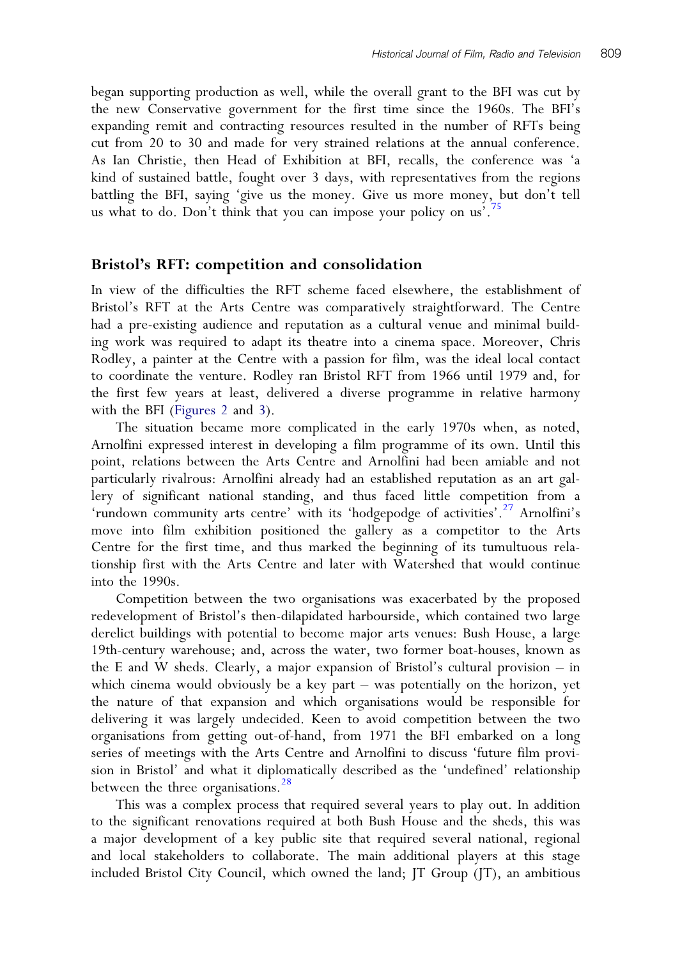began supporting production as well, while the overall grant to the BFI was cut by the new Conservative government for the first time since the 1960s. The BFI's expanding remit and contracting resources resulted in the number of RFTs being cut from 20 to 30 and made for very strained relations at the annual conference. As Ian Christie, then Head of Exhibition at BFI, recalls, the conference was 'a kind of sustained battle, fought over 3 days, with representatives from the regions battling the BFI, saying 'give us the money. Give us more money, but don't tell us what to do. Don't think that you can impose your policy on us<sup>7.[75](#page-29-0)</sup>

#### Bristol's RFT: competition and consolidation

In view of the difficulties the RFT scheme faced elsewhere, the establishment of Bristol's RFT at the Arts Centre was comparatively straightforward. The Centre had a pre-existing audience and reputation as a cultural venue and minimal building work was required to adapt its theatre into a cinema space. Moreover, Chris Rodley, a painter at the Centre with a passion for film, was the ideal local contact to coordinate the venture. Rodley ran Bristol RFT from 1966 until 1979 and, for the first few years at least, delivered a diverse programme in relative harmony with the BFI ([Figures 2](#page-8-0) and [3\)](#page-9-0).

The situation became more complicated in the early 1970s when, as noted, Arnolfini expressed interest in developing a film programme of its own. Until this point, relations between the Arts Centre and Arnolfini had been amiable and not particularly rivalrous: Arnolfini already had an established reputation as an art gallery of significant national standing, and thus faced little competition from a 'rundown community arts centre' with its 'hodgepodge of activities'. [27](#page-27-0) Arnolfini's move into film exhibition positioned the gallery as a competitor to the Arts Centre for the first time, and thus marked the beginning of its tumultuous relationship first with the Arts Centre and later with Watershed that would continue into the 1990s.

Competition between the two organisations was exacerbated by the proposed redevelopment of Bristol's then-dilapidated harbourside, which contained two large derelict buildings with potential to become major arts venues: Bush House, a large 19th-century warehouse; and, across the water, two former boat-houses, known as the E and W sheds. Clearly, a major expansion of Bristol's cultural provision – in which cinema would obviously be a key part – was potentially on the horizon, yet the nature of that expansion and which organisations would be responsible for delivering it was largely undecided. Keen to avoid competition between the two organisations from getting out-of-hand, from 1971 the BFI embarked on a long series of meetings with the Arts Centre and Arnolfini to discuss 'future film provision in Bristol' and what it diplomatically described as the 'undefined' relationship between the three organisations.<sup>[28](#page-27-0)</sup>

This was a complex process that required several years to play out. In addition to the significant renovations required at both Bush House and the sheds, this was a major development of a key public site that required several national, regional and local stakeholders to collaborate. The main additional players at this stage included Bristol City Council, which owned the land; JT Group (JT), an ambitious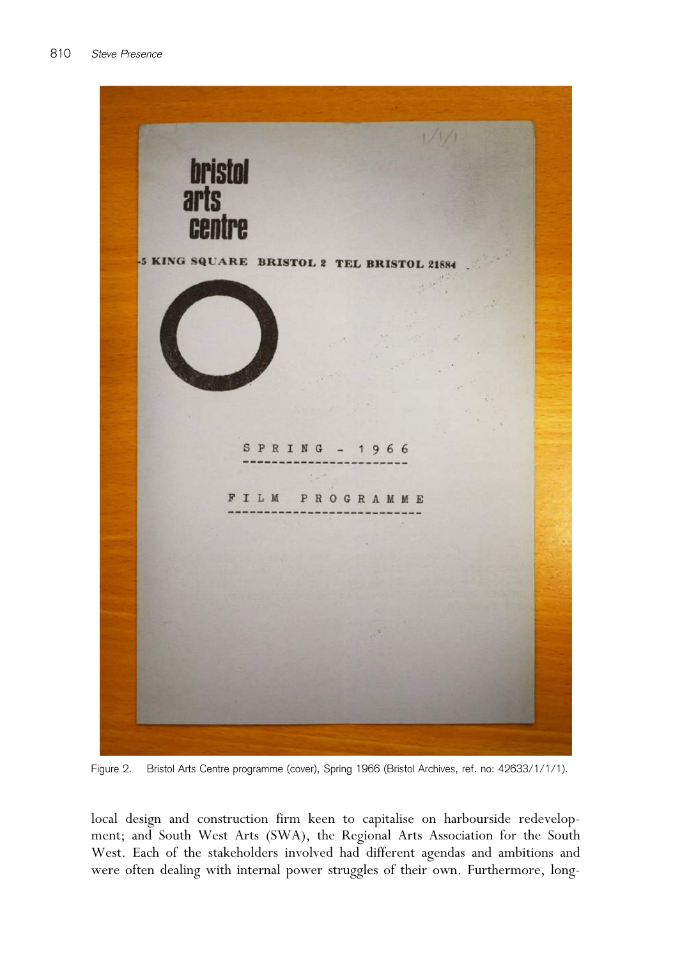<span id="page-8-0"></span>

Figure 2. Bristol Arts Centre programme (cover), Spring 1966 (Bristol Archives, ref. no: 42633/1/1/1).

local design and construction firm keen to capitalise on harbourside redevelopment; and South West Arts (SWA), the Regional Arts Association for the South West. Each of the stakeholders involved had different agendas and ambitions and were often dealing with internal power struggles of their own. Furthermore, long-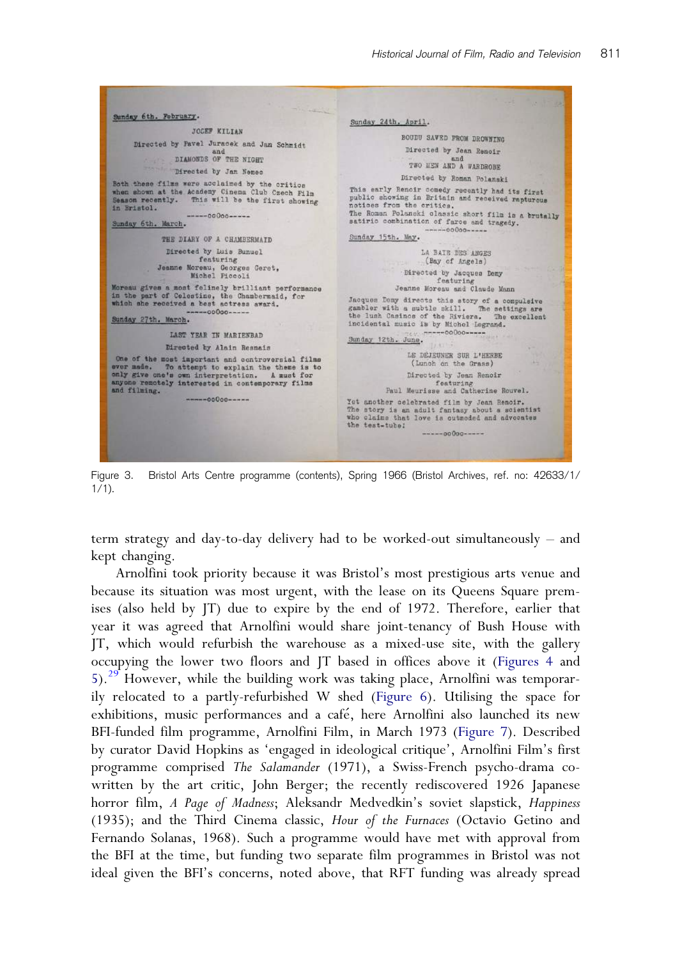<span id="page-9-0"></span>

Figure 3. Bristol Arts Centre programme (contents), Spring 1966 (Bristol Archives, ref. no: 42633/1/ 1/1).

term strategy and day-to-day delivery had to be worked-out simultaneously – and kept changing.

Arnolfini took priority because it was Bristol's most prestigious arts venue and because its situation was most urgent, with the lease on its Queens Square premises (also held by JT) due to expire by the end of 1972. Therefore, earlier that year it was agreed that Arnolfini would share joint-tenancy of Bush House with JT, which would refurbish the warehouse as a mixed-use site, with the gallery occupying the lower two floors and JT based in offices above it ([Figures 4](#page-10-0) and [5](#page-11-0)).<sup>[29](#page-27-0)</sup> However, while the building work was taking place, Arnolfini was temporarily relocated to a partly-refurbished W shed ([Figure 6](#page-11-0)). Utilising the space for exhibitions, music performances and a cafe, here Arnolfini also launched its new BFI-funded film programme, Arnolfini Film, in March 1973 ([Figure 7](#page-12-0)). Described by curator David Hopkins as 'engaged in ideological critique', Arnolfini Film's first programme comprised The Salamander (1971), a Swiss-French psycho-drama cowritten by the art critic, John Berger; the recently rediscovered 1926 Japanese horror film, A Page of Madness; Aleksandr Medvedkin's soviet slapstick, Happiness (1935); and the Third Cinema classic, Hour of the Furnaces (Octavio Getino and Fernando Solanas, 1968). Such a programme would have met with approval from the BFI at the time, but funding two separate film programmes in Bristol was not ideal given the BFI's concerns, noted above, that RFT funding was already spread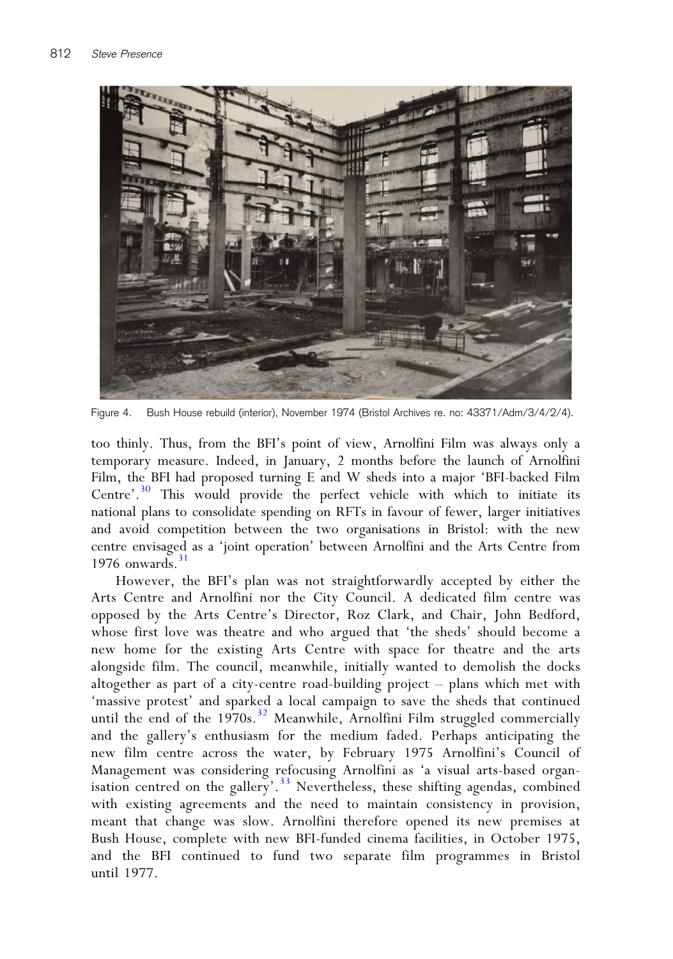<span id="page-10-0"></span>

Figure 4. Bush House rebuild (interior), November 1974 (Bristol Archives re. no: 43371/Adm/3/4/2/4).

too thinly. Thus, from the BFI's point of view, Arnolfini Film was always only a temporary measure. Indeed, in January, 2 months before the launch of Arnolfini Film, the BFI had proposed turning E and W sheds into a major 'BFI-backed Film Centre'.<sup>[30](#page-27-0)</sup> This would provide the perfect vehicle with which to initiate its national plans to consolidate spending on RFTs in favour of fewer, larger initiatives and avoid competition between the two organisations in Bristol: with the new centre envisaged as a 'joint operation' between Arnolfini and the Arts Centre from 1976 onwards. $31$ 

However, the BFI's plan was not straightforwardly accepted by either the Arts Centre and Arnolfini nor the City Council. A dedicated film centre was opposed by the Arts Centre's Director, Roz Clark, and Chair, John Bedford, whose first love was theatre and who argued that 'the sheds' should become a new home for the existing Arts Centre with space for theatre and the arts alongside film. The council, meanwhile, initially wanted to demolish the docks altogether as part of a city-centre road-building project – plans which met with 'massive protest' and sparked a local campaign to save the sheds that continued until the end of the 1970s.<sup>[32](#page-27-0)</sup> Meanwhile, Arnolfini Film struggled commercially and the gallery's enthusiasm for the medium faded. Perhaps anticipating the new film centre across the water, by February 1975 Arnolfini's Council of Management was considering refocusing Arnolfini as 'a visual arts-based organ-isation centred on the gallery'.<sup>[33](#page-27-0)</sup> Nevertheless, these shifting agendas, combined with existing agreements and the need to maintain consistency in provision, meant that change was slow. Arnolfini therefore opened its new premises at Bush House, complete with new BFI-funded cinema facilities, in October 1975, and the BFI continued to fund two separate film programmes in Bristol until 1977.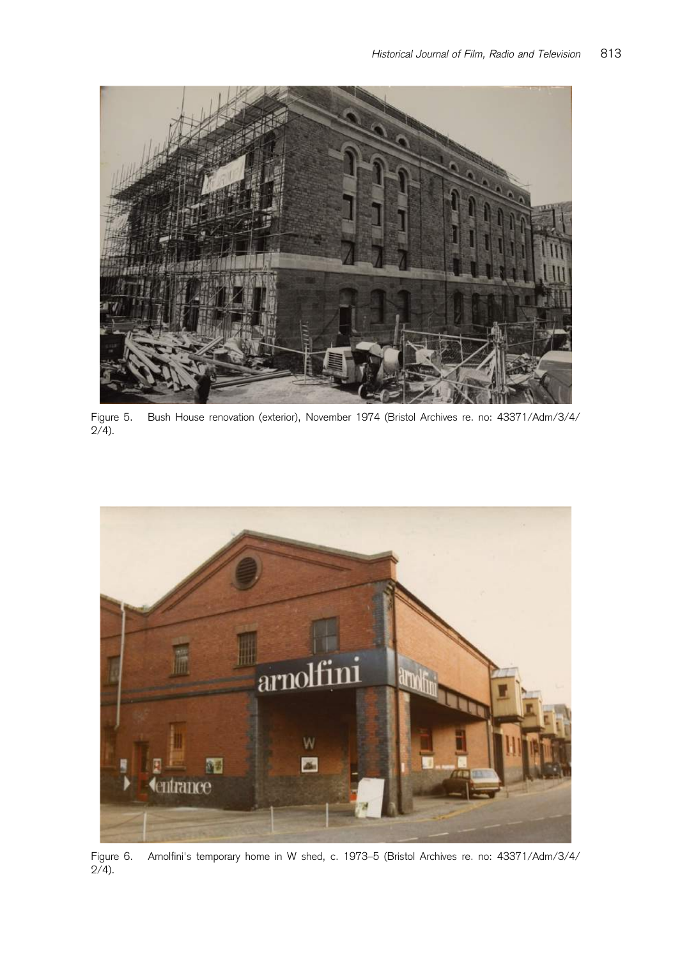<span id="page-11-0"></span>

Bush House renovation (exterior), November 1974 (Bristol Archives re. no: 43371/Adm/3/4/ Figure 5.<br>2/4).



Arnolfini's temporary home in W shed, c. 1973-5 (Bristol Archives re. no: 43371/Adm/3/4/ Figure 6.<br>2/4).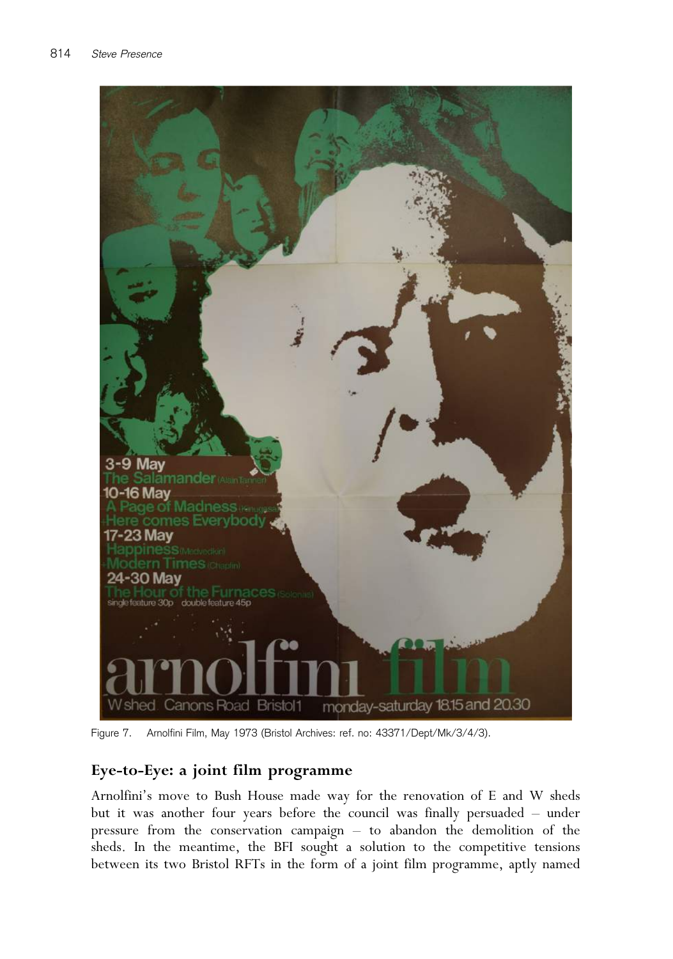<span id="page-12-0"></span>

Figure 7. Arnolfini Film, May 1973 (Bristol Archives: ref. no: 43371/Dept/Mk/3/4/3).

## Eye-to-Eye: a joint film programme

Arnolfini's move to Bush House made way for the renovation of E and W sheds but it was another four years before the council was finally persuaded – under pressure from the conservation campaign – to abandon the demolition of the sheds. In the meantime, the BFI sought a solution to the competitive tensions between its two Bristol RFTs in the form of a joint film programme, aptly named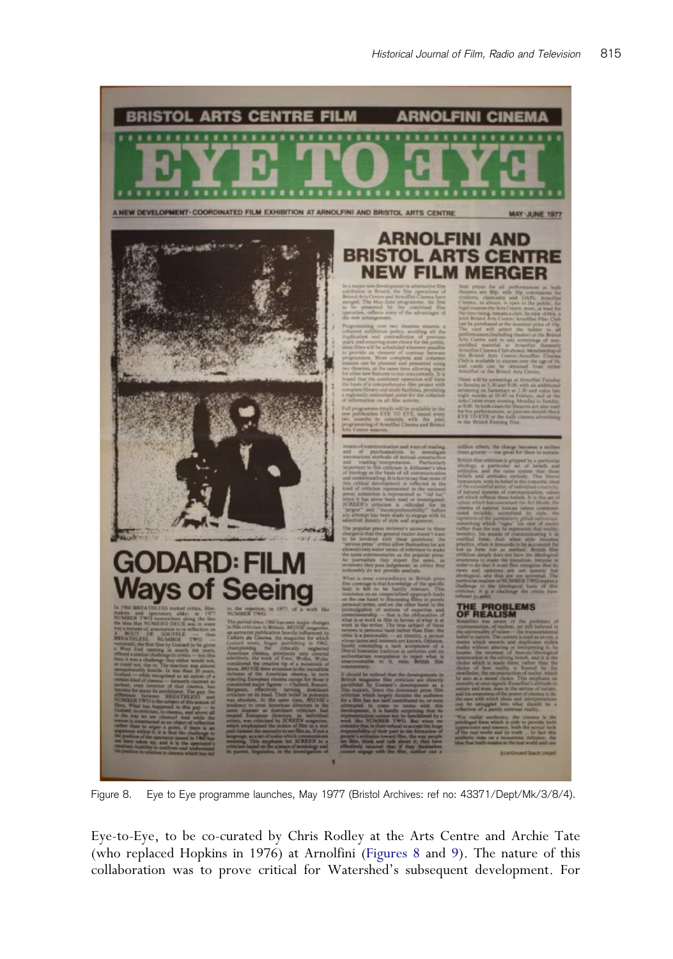

Figure 8. Eye to Eye programme launches, May 1977 (Bristol Archives: ref no: 43371/Dept/Mk/3/8/4).

Eye-to-Eye, to be co-curated by Chris Rodley at the Arts Centre and Archie Tate (who replaced Hopkins in 1976) at Arnolfini (Figures 8 and [9](#page-14-0)). The nature of this collaboration was to prove critical for Watershed's subsequent development. For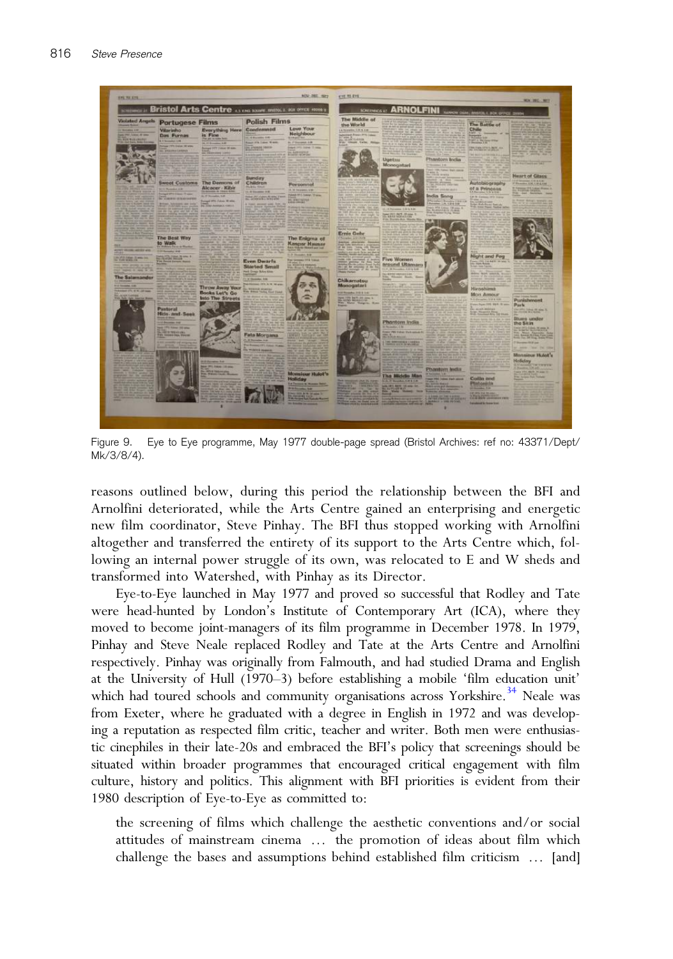<span id="page-14-0"></span>

Figure 9. Eye to Eye programme, May 1977 double-page spread (Bristol Archives: ref no: 43371/Dept/ Mk/3/8/4).

reasons outlined below, during this period the relationship between the BFI and Arnolfini deteriorated, while the Arts Centre gained an enterprising and energetic new film coordinator, Steve Pinhay. The BFI thus stopped working with Arnolfini altogether and transferred the entirety of its support to the Arts Centre which, following an internal power struggle of its own, was relocated to E and W sheds and transformed into Watershed, with Pinhay as its Director.

Eye-to-Eye launched in May 1977 and proved so successful that Rodley and Tate were head-hunted by London's Institute of Contemporary Art (ICA), where they moved to become joint-managers of its film programme in December 1978. In 1979, Pinhay and Steve Neale replaced Rodley and Tate at the Arts Centre and Arnolfini respectively. Pinhay was originally from Falmouth, and had studied Drama and English at the University of Hull (1970–3) before establishing a mobile 'film education unit' which had toured schools and community organisations across Yorkshire.<sup>34</sup> Neale was from Exeter, where he graduated with a degree in English in 1972 and was developing a reputation as respected film critic, teacher and writer. Both men were enthusiastic cinephiles in their late-20s and embraced the BFI's policy that screenings should be situated within broader programmes that encouraged critical engagement with film culture, history and politics. This alignment with BFI priorities is evident from their 1980 description of Eye-to-Eye as committed to:

the screening of films which challenge the aesthetic conventions and/or social attitudes of mainstream cinema … the promotion of ideas about film which challenge the bases and assumptions behind established film criticism … [and]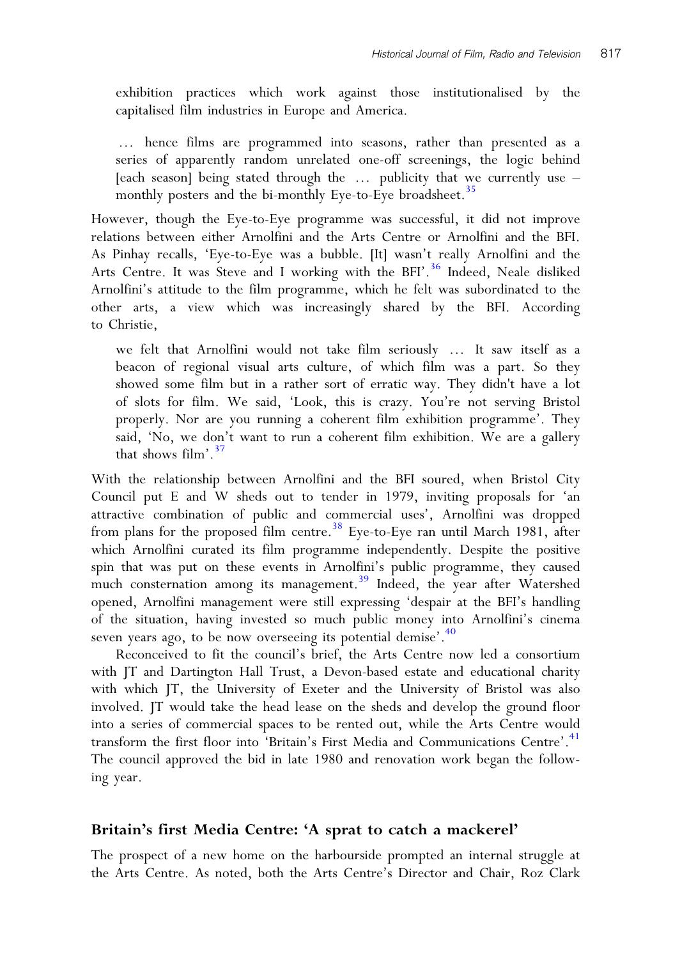exhibition practices which work against those institutionalised by the capitalised film industries in Europe and America.

… hence films are programmed into seasons, rather than presented as a series of apparently random unrelated one-off screenings, the logic behind [each season] being stated through the … publicity that we currently use – monthly posters and the bi-monthly Eye-to-Eye broadsheet.<sup>35</sup>

However, though the Eye-to-Eye programme was successful, it did not improve relations between either Arnolfini and the Arts Centre or Arnolfini and the BFI. As Pinhay recalls, 'Eye-to-Eye was a bubble. [It] wasn't really Arnolfini and the Arts Centre. It was Steve and I working with the BFI'.<sup>[36](#page-27-0)</sup> Indeed, Neale disliked Arnolfini's attitude to the film programme, which he felt was subordinated to the other arts, a view which was increasingly shared by the BFI. According to Christie,

we felt that Arnolfini would not take film seriously … It saw itself as a beacon of regional visual arts culture, of which film was a part. So they showed some film but in a rather sort of erratic way. They didn't have a lot of slots for film. We said, 'Look, this is crazy. You're not serving Bristol properly. Nor are you running a coherent film exhibition programme'. They said, 'No, we don't want to run a coherent film exhibition. We are a gallery that shows film'. [37](#page-28-0)

With the relationship between Arnolfini and the BFI soured, when Bristol City Council put E and W sheds out to tender in 1979, inviting proposals for 'an attractive combination of public and commercial uses', Arnolfini was dropped from plans for the proposed film centre.<sup>[38](#page-28-0)</sup> Eye-to-Eye ran until March 1981, after which Arnolfini curated its film programme independently. Despite the positive spin that was put on these events in Arnolfini's public programme, they caused much consternation among its management.<sup>[39](#page-28-0)</sup> Indeed, the year after Watershed opened, Arnolfini management were still expressing 'despair at the BFI's handling of the situation, having invested so much public money into Arnolfini's cinema seven years ago, to be now overseeing its potential demise'.<sup>[40](#page-28-0)</sup>

Reconceived to fit the council's brief, the Arts Centre now led a consortium with JT and Dartington Hall Trust, a Devon-based estate and educational charity with which JT, the University of Exeter and the University of Bristol was also involved. JT would take the head lease on the sheds and develop the ground floor into a series of commercial spaces to be rented out, while the Arts Centre would transform the first floor into 'Britain's First Media and Communications Centre'. [41](#page-28-0) The council approved the bid in late 1980 and renovation work began the following year.

#### Britain's first Media Centre: 'A sprat to catch a mackerel'

The prospect of a new home on the harbourside prompted an internal struggle at the Arts Centre. As noted, both the Arts Centre's Director and Chair, Roz Clark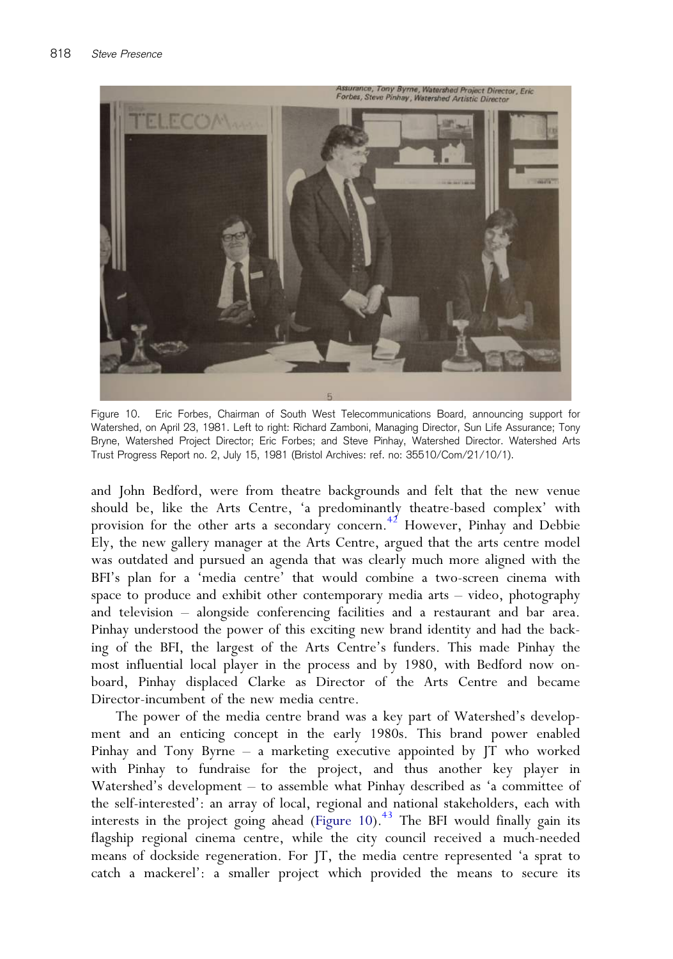

Figure 10. Eric Forbes, Chairman of South West Telecommunications Board, announcing support for Watershed, on April 23, 1981. Left to right: Richard Zamboni, Managing Director, Sun Life Assurance; Tony Bryne, Watershed Project Director; Eric Forbes; and Steve Pinhay, Watershed Director. Watershed Arts Trust Progress Report no. 2, July 15, 1981 (Bristol Archives: ref. no: 35510/Com/21/10/1).

and John Bedford, were from theatre backgrounds and felt that the new venue should be, like the Arts Centre, 'a predominantly theatre-based complex' with provision for the other arts a secondary concern.<sup>[42](#page-28-0)</sup> However, Pinhay and Debbie Ely, the new gallery manager at the Arts Centre, argued that the arts centre model was outdated and pursued an agenda that was clearly much more aligned with the BFI's plan for a 'media centre' that would combine a two-screen cinema with space to produce and exhibit other contemporary media arts – video, photography and television – alongside conferencing facilities and a restaurant and bar area. Pinhay understood the power of this exciting new brand identity and had the backing of the BFI, the largest of the Arts Centre's funders. This made Pinhay the most influential local player in the process and by 1980, with Bedford now onboard, Pinhay displaced Clarke as Director of the Arts Centre and became Director-incumbent of the new media centre.

The power of the media centre brand was a key part of Watershed's development and an enticing concept in the early 1980s. This brand power enabled Pinhay and Tony Byrne – a marketing executive appointed by JT who worked with Pinhay to fundraise for the project, and thus another key player in Watershed's development – to assemble what Pinhay described as 'a committee of the self-interested': an array of local, regional and national stakeholders, each with interests in the project going ahead (Figure 10).<sup>[43](#page-28-0)</sup> The BFI would finally gain its flagship regional cinema centre, while the city council received a much-needed means of dockside regeneration. For JT, the media centre represented 'a sprat to catch a mackerel': a smaller project which provided the means to secure its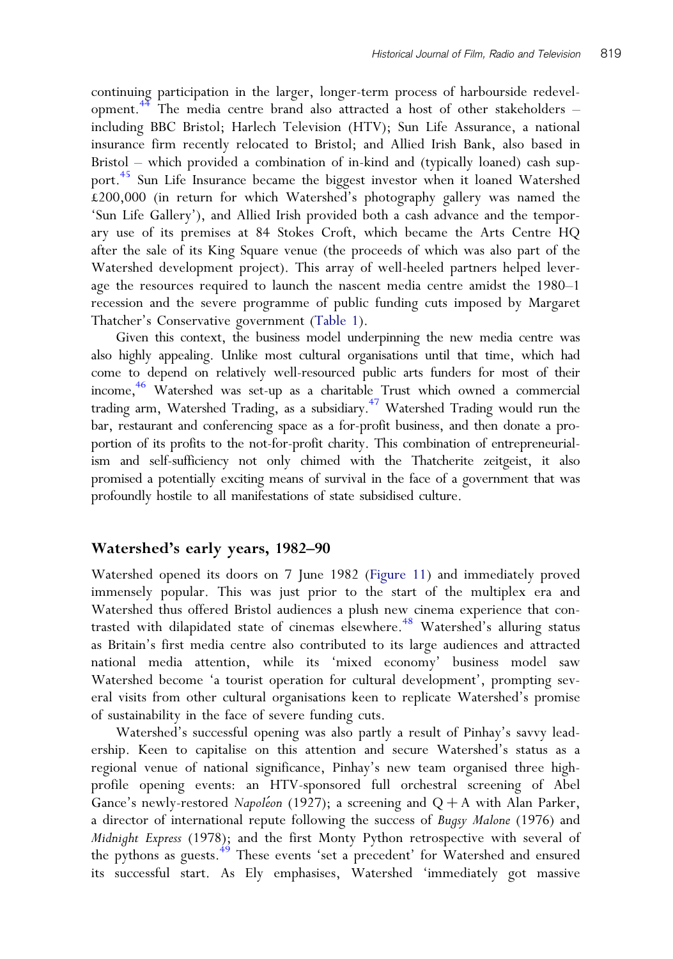continuing participation in the larger, longer-term process of harbourside redevelopment.<sup>44</sup> The media centre brand also attracted a host of other stakeholders – including BBC Bristol; Harlech Television (HTV); Sun Life Assurance, a national insurance firm recently relocated to Bristol; and Allied Irish Bank, also based in Bristol – which provided a combination of in-kind and (typically loaned) cash support.<sup>45</sup> Sun Life Insurance became the biggest investor when it loaned Watershed £200,000 (in return for which Watershed's photography gallery was named the 'Sun Life Gallery'), and Allied Irish provided both a cash advance and the temporary use of its premises at 84 Stokes Croft, which became the Arts Centre HQ after the sale of its King Square venue (the proceeds of which was also part of the Watershed development project). This array of well-heeled partners helped leverage the resources required to launch the nascent media centre amidst the 1980–1 recession and the severe programme of public funding cuts imposed by Margaret Thatcher's Conservative government (Table 1).

Given this context, the business model underpinning the new media centre was also highly appealing. Unlike most cultural organisations until that time, which had come to depend on relatively well-resourced public arts funders for most of their income[,46](#page-28-0) Watershed was set-up as a charitable Trust which owned a commercial trading arm, Watershed Trading, as a subsidiary. $47$  Watershed Trading would run the bar, restaurant and conferencing space as a for-profit business, and then donate a proportion of its profits to the not-for-profit charity. This combination of entrepreneurialism and self-sufficiency not only chimed with the Thatcherite zeitgeist, it also promised a potentially exciting means of survival in the face of a government that was profoundly hostile to all manifestations of state subsidised culture.

#### Watershed's early years, 1982–90

Watershed opened its doors on 7 June 1982 [\(Figure 11\)](#page-19-0) and immediately proved immensely popular. This was just prior to the start of the multiplex era and Watershed thus offered Bristol audiences a plush new cinema experience that con-trasted with dilapidated state of cinemas elsewhere.<sup>[48](#page-28-0)</sup> Watershed's alluring status as Britain's first media centre also contributed to its large audiences and attracted national media attention, while its 'mixed economy' business model saw Watershed become 'a tourist operation for cultural development', prompting several visits from other cultural organisations keen to replicate Watershed's promise of sustainability in the face of severe funding cuts.

Watershed's successful opening was also partly a result of Pinhay's savvy leadership. Keen to capitalise on this attention and secure Watershed's status as a regional venue of national significance, Pinhay's new team organised three highprofile opening events: an HTV-sponsored full orchestral screening of Abel Gance's newly-restored Napoleon (1927); a screening and  $Q + A$  with Alan Parker, a director of international repute following the success of Bugsy Malone (1976) and Midnight Express (1978); and the first Monty Python retrospective with several of the pythons as guests.<sup>49</sup> These events 'set a precedent' for Watershed and ensured its successful start. As Ely emphasises, Watershed 'immediately got massive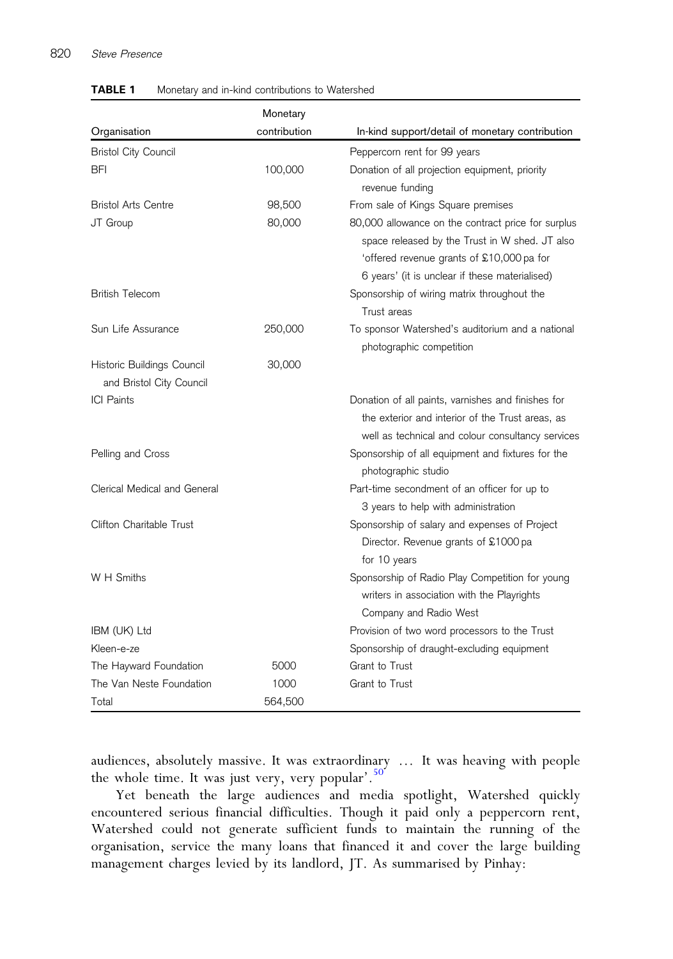|                                                        | Monetary<br>contribution |                                                                                                                                                                                                     |
|--------------------------------------------------------|--------------------------|-----------------------------------------------------------------------------------------------------------------------------------------------------------------------------------------------------|
| Organisation                                           |                          | In-kind support/detail of monetary contribution                                                                                                                                                     |
| <b>Bristol City Council</b>                            |                          | Peppercorn rent for 99 years                                                                                                                                                                        |
| BFI                                                    | 100,000                  | Donation of all projection equipment, priority                                                                                                                                                      |
|                                                        |                          | revenue funding                                                                                                                                                                                     |
| <b>Bristol Arts Centre</b>                             | 98,500                   | From sale of Kings Square premises                                                                                                                                                                  |
| JT Group                                               | 80,000                   | 80,000 allowance on the contract price for surplus<br>space released by the Trust in W shed. JT also<br>'offered revenue grants of £10,000 pa for<br>6 years' (it is unclear if these materialised) |
| <b>British Telecom</b>                                 |                          | Sponsorship of wiring matrix throughout the<br>Trust areas                                                                                                                                          |
| Sun Life Assurance                                     | 250,000                  | To sponsor Watershed's auditorium and a national<br>photographic competition                                                                                                                        |
| Historic Buildings Council<br>and Bristol City Council | 30,000                   |                                                                                                                                                                                                     |
| <b>ICI Paints</b>                                      |                          | Donation of all paints, varnishes and finishes for<br>the exterior and interior of the Trust areas, as<br>well as technical and colour consultancy services                                         |
| Pelling and Cross                                      |                          | Sponsorship of all equipment and fixtures for the<br>photographic studio                                                                                                                            |
| Clerical Medical and General                           |                          | Part-time secondment of an officer for up to<br>3 years to help with administration                                                                                                                 |
| Clifton Charitable Trust                               |                          | Sponsorship of salary and expenses of Project<br>Director. Revenue grants of £1000 pa<br>for 10 years                                                                                               |
| W H Smiths                                             |                          | Sponsorship of Radio Play Competition for young<br>writers in association with the Playrights<br>Company and Radio West                                                                             |
| IBM (UK) Ltd                                           |                          | Provision of two word processors to the Trust                                                                                                                                                       |
| Kleen-e-ze                                             |                          | Sponsorship of draught-excluding equipment                                                                                                                                                          |
| The Hayward Foundation                                 | 5000                     | Grant to Trust                                                                                                                                                                                      |
| The Van Neste Foundation                               | 1000                     | Grant to Trust                                                                                                                                                                                      |
| Total                                                  | 564,500                  |                                                                                                                                                                                                     |

#### **TABLE 1** Monetary and in-kind contributions to Watershed

audiences, absolutely massive. It was extraordinary … It was heaving with people the whole time. It was just very, very popular'.<sup>[50](#page-28-0)</sup>

Yet beneath the large audiences and media spotlight, Watershed quickly encountered serious financial difficulties. Though it paid only a peppercorn rent, Watershed could not generate sufficient funds to maintain the running of the organisation, service the many loans that financed it and cover the large building management charges levied by its landlord, JT. As summarised by Pinhay: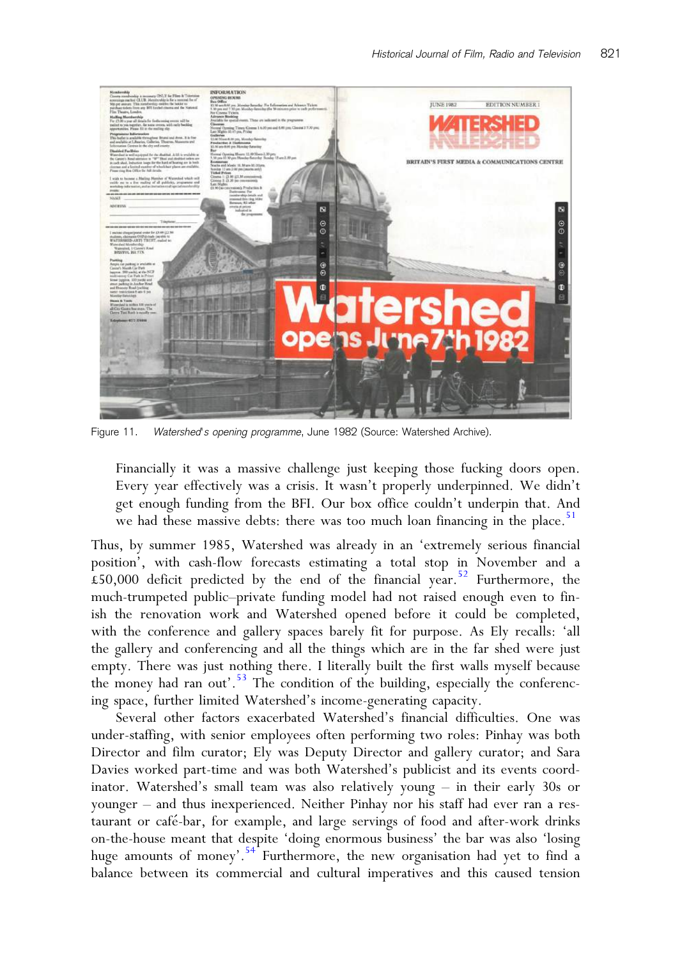<span id="page-19-0"></span>

Figure 11. Watershed's opening programme, June 1982 (Source: Watershed Archive).

Financially it was a massive challenge just keeping those fucking doors open. Every year effectively was a crisis. It wasn't properly underpinned. We didn't get enough funding from the BFI. Our box office couldn't underpin that. And we had these massive debts: there was too much loan financing in the place.<sup>[51](#page-28-0)</sup>

Thus, by summer 1985, Watershed was already in an 'extremely serious financial position', with cash-flow forecasts estimating a total stop in November and a £50,000 deficit predicted by the end of the financial year.<sup>[52](#page-28-0)</sup> Furthermore, the much-trumpeted public–private funding model had not raised enough even to finish the renovation work and Watershed opened before it could be completed, with the conference and gallery spaces barely fit for purpose. As Ely recalls: 'all the gallery and conferencing and all the things which are in the far shed were just empty. There was just nothing there. I literally built the first walls myself because the money had ran out'.<sup>[53](#page-28-0)</sup> The condition of the building, especially the conferencing space, further limited Watershed's income-generating capacity.

Several other factors exacerbated Watershed's financial difficulties. One was under-staffing, with senior employees often performing two roles: Pinhay was both Director and film curator; Ely was Deputy Director and gallery curator; and Sara Davies worked part-time and was both Watershed's publicist and its events coordinator. Watershed's small team was also relatively young – in their early 30s or younger – and thus inexperienced. Neither Pinhay nor his staff had ever ran a restaurant or café-bar, for example, and large servings of food and after-work drinks on-the-house meant that despite 'doing enormous business' the bar was also 'losing huge amounts of money'.<sup>[54](#page-28-0)</sup> Furthermore, the new organisation had yet to find a balance between its commercial and cultural imperatives and this caused tension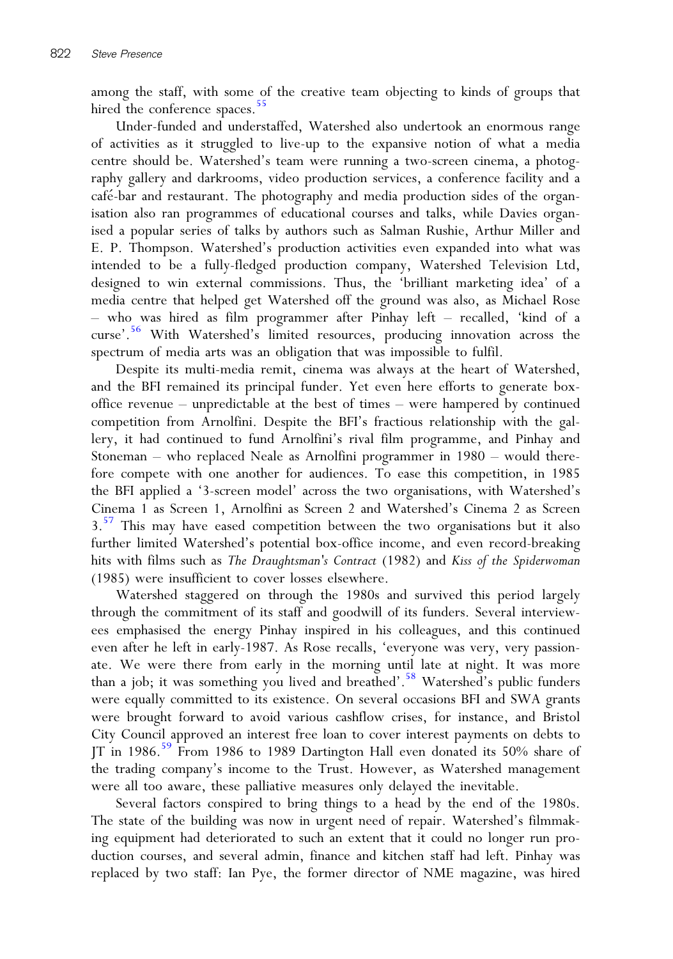among the staff, with some of the creative team objecting to kinds of groups that hired the conference spaces.<sup>[55](#page-28-0)</sup>

Under-funded and understaffed, Watershed also undertook an enormous range of activities as it struggled to live-up to the expansive notion of what a media centre should be. Watershed's team were running a two-screen cinema, a photography gallery and darkrooms, video production services, a conference facility and a cafe-bar and restaurant. The photography and media production sides of the organisation also ran programmes of educational courses and talks, while Davies organised a popular series of talks by authors such as Salman Rushie, Arthur Miller and E. P. Thompson. Watershed's production activities even expanded into what was intended to be a fully-fledged production company, Watershed Television Ltd, designed to win external commissions. Thus, the 'brilliant marketing idea' of a media centre that helped get Watershed off the ground was also, as Michael Rose – who was hired as film programmer after Pinhay left – recalled, 'kind of a curse'. [56](#page-29-0) With Watershed's limited resources, producing innovation across the spectrum of media arts was an obligation that was impossible to fulfil.

Despite its multi-media remit, cinema was always at the heart of Watershed, and the BFI remained its principal funder. Yet even here efforts to generate boxoffice revenue – unpredictable at the best of times – were hampered by continued competition from Arnolfini. Despite the BFI's fractious relationship with the gallery, it had continued to fund Arnolfini's rival film programme, and Pinhay and Stoneman – who replaced Neale as Arnolfini programmer in 1980 – would therefore compete with one another for audiences. To ease this competition, in 1985 the BFI applied a '3-screen model' across the two organisations, with Watershed's Cinema 1 as Screen 1, Arnolfini as Screen 2 and Watershed's Cinema 2 as Screen 3.<sup>[57](#page-29-0)</sup> This may have eased competition between the two organisations but it also further limited Watershed's potential box-office income, and even record-breaking hits with films such as *The Draughtsman's Contract* (1982) and *Kiss of the Spiderwoman* (1985) were insufficient to cover losses elsewhere.

Watershed staggered on through the 1980s and survived this period largely through the commitment of its staff and goodwill of its funders. Several interviewees emphasised the energy Pinhay inspired in his colleagues, and this continued even after he left in early-1987. As Rose recalls, 'everyone was very, very passionate. We were there from early in the morning until late at night. It was more than a job; it was something you lived and breathed'. [58](#page-29-0) Watershed's public funders were equally committed to its existence. On several occasions BFI and SWA grants were brought forward to avoid various cashflow crises, for instance, and Bristol City Council approved an interest free loan to cover interest payments on debts to JT in 1986.[59](#page-29-0) From 1986 to 1989 Dartington Hall even donated its 50% share of the trading company's income to the Trust. However, as Watershed management were all too aware, these palliative measures only delayed the inevitable.

Several factors conspired to bring things to a head by the end of the 1980s. The state of the building was now in urgent need of repair. Watershed's filmmaking equipment had deteriorated to such an extent that it could no longer run production courses, and several admin, finance and kitchen staff had left. Pinhay was replaced by two staff: Ian Pye, the former director of NME magazine, was hired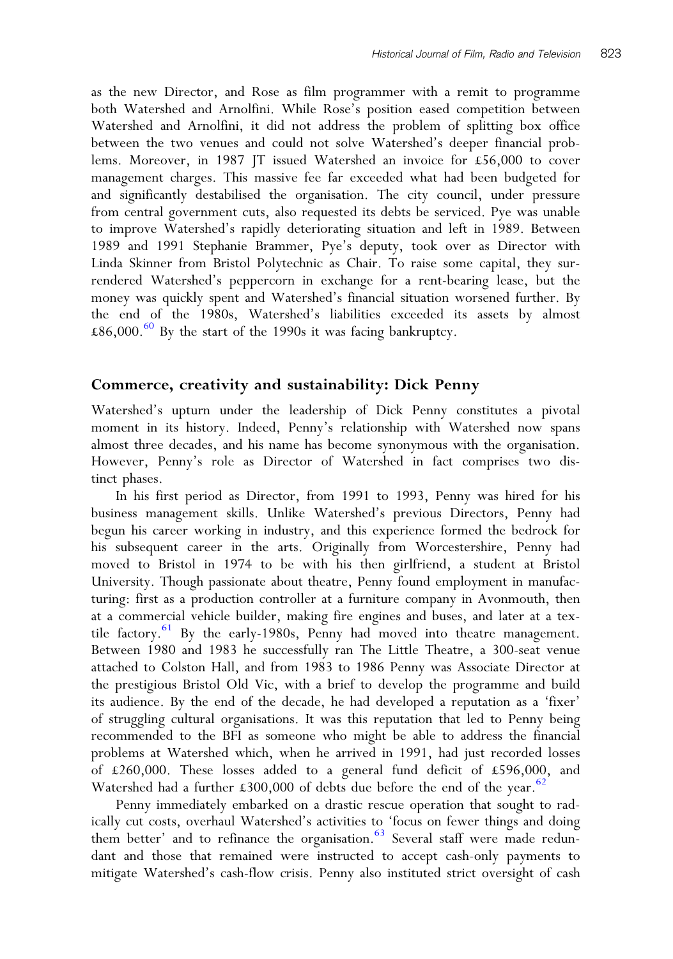as the new Director, and Rose as film programmer with a remit to programme both Watershed and Arnolfini. While Rose's position eased competition between Watershed and Arnolfini, it did not address the problem of splitting box office between the two venues and could not solve Watershed's deeper financial problems. Moreover, in 1987 JT issued Watershed an invoice for £56,000 to cover management charges. This massive fee far exceeded what had been budgeted for and significantly destabilised the organisation. The city council, under pressure from central government cuts, also requested its debts be serviced. Pye was unable to improve Watershed's rapidly deteriorating situation and left in 1989. Between 1989 and 1991 Stephanie Brammer, Pye's deputy, took over as Director with Linda Skinner from Bristol Polytechnic as Chair. To raise some capital, they surrendered Watershed's peppercorn in exchange for a rent-bearing lease, but the money was quickly spent and Watershed's financial situation worsened further. By the end of the 1980s, Watershed's liabilities exceeded its assets by almost £86,000.<sup>[60](#page-29-0)</sup> By the start of the 1990s it was facing bankruptcy.

### Commerce, creativity and sustainability: Dick Penny

Watershed's upturn under the leadership of Dick Penny constitutes a pivotal moment in its history. Indeed, Penny's relationship with Watershed now spans almost three decades, and his name has become synonymous with the organisation. However, Penny's role as Director of Watershed in fact comprises two distinct phases.

In his first period as Director, from 1991 to 1993, Penny was hired for his business management skills. Unlike Watershed's previous Directors, Penny had begun his career working in industry, and this experience formed the bedrock for his subsequent career in the arts. Originally from Worcestershire, Penny had moved to Bristol in 1974 to be with his then girlfriend, a student at Bristol University. Though passionate about theatre, Penny found employment in manufacturing: first as a production controller at a furniture company in Avonmouth, then at a commercial vehicle builder, making fire engines and buses, and later at a textile factory. $61$  By the early-1980s, Penny had moved into theatre management. Between 1980 and 1983 he successfully ran The Little Theatre, a 300-seat venue attached to Colston Hall, and from 1983 to 1986 Penny was Associate Director at the prestigious Bristol Old Vic, with a brief to develop the programme and build its audience. By the end of the decade, he had developed a reputation as a 'fixer' of struggling cultural organisations. It was this reputation that led to Penny being recommended to the BFI as someone who might be able to address the financial problems at Watershed which, when he arrived in 1991, had just recorded losses of £260,000. These losses added to a general fund deficit of £596,000, and Watershed had a further £300,000 of debts due before the end of the year.<sup>[62](#page-29-0)</sup>

Penny immediately embarked on a drastic rescue operation that sought to radically cut costs, overhaul Watershed's activities to 'focus on fewer things and doing them better' and to refinance the organisation.<sup>[63](#page-29-0)</sup> Several staff were made redundant and those that remained were instructed to accept cash-only payments to mitigate Watershed's cash-flow crisis. Penny also instituted strict oversight of cash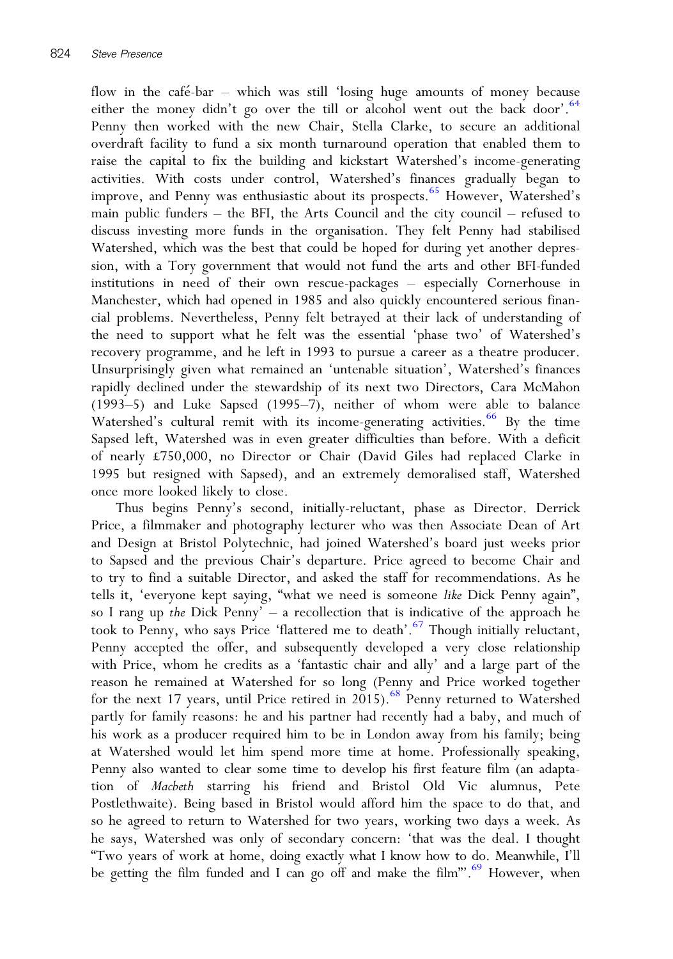flow in the cafe-bar – which was still 'losing huge amounts of money because either the money didn't go over the till or alcohol went out the back door'.<sup>[64](#page-29-0)</sup> Penny then worked with the new Chair, Stella Clarke, to secure an additional overdraft facility to fund a six month turnaround operation that enabled them to raise the capital to fix the building and kickstart Watershed's income-generating activities. With costs under control, Watershed's finances gradually began to improve, and Penny was enthusiastic about its prospects.<sup>[65](#page-29-0)</sup> However, Watershed's main public funders – the BFI, the Arts Council and the city council – refused to discuss investing more funds in the organisation. They felt Penny had stabilised Watershed, which was the best that could be hoped for during yet another depression, with a Tory government that would not fund the arts and other BFI-funded institutions in need of their own rescue-packages – especially Cornerhouse in Manchester, which had opened in 1985 and also quickly encountered serious financial problems. Nevertheless, Penny felt betrayed at their lack of understanding of the need to support what he felt was the essential 'phase two' of Watershed's recovery programme, and he left in 1993 to pursue a career as a theatre producer. Unsurprisingly given what remained an 'untenable situation', Watershed's finances rapidly declined under the stewardship of its next two Directors, Cara McMahon (1993–5) and Luke Sapsed (1995–7), neither of whom were able to balance Watershed's cultural remit with its income-generating activities.  $66$  By the time Sapsed left, Watershed was in even greater difficulties than before. With a deficit of nearly £750,000, no Director or Chair (David Giles had replaced Clarke in 1995 but resigned with Sapsed), and an extremely demoralised staff, Watershed once more looked likely to close.

Thus begins Penny's second, initially-reluctant, phase as Director. Derrick Price, a filmmaker and photography lecturer who was then Associate Dean of Art and Design at Bristol Polytechnic, had joined Watershed's board just weeks prior to Sapsed and the previous Chair's departure. Price agreed to become Chair and to try to find a suitable Director, and asked the staff for recommendations. As he tells it, 'everyone kept saying, "what we need is someone like Dick Penny again", so I rang up the Dick Penny'  $-$  a recollection that is indicative of the approach he took to Penny, who says Price 'flattered me to death'. [67](#page-29-0) Though initially reluctant, Penny accepted the offer, and subsequently developed a very close relationship with Price, whom he credits as a 'fantastic chair and ally' and a large part of the reason he remained at Watershed for so long (Penny and Price worked together for the next 17 years, until Price retired in 2015).<sup>[68](#page-29-0)</sup> Penny returned to Watershed partly for family reasons: he and his partner had recently had a baby, and much of his work as a producer required him to be in London away from his family; being at Watershed would let him spend more time at home. Professionally speaking, Penny also wanted to clear some time to develop his first feature film (an adaptation of Macbeth starring his friend and Bristol Old Vic alumnus, Pete Postlethwaite). Being based in Bristol would afford him the space to do that, and so he agreed to return to Watershed for two years, working two days a week. As he says, Watershed was only of secondary concern: 'that was the deal. I thought "Two years of work at home, doing exactly what I know how to do. Meanwhile, I'll be getting the film funded and I can go off and make the film".<sup>[69](#page-29-0)</sup> However, when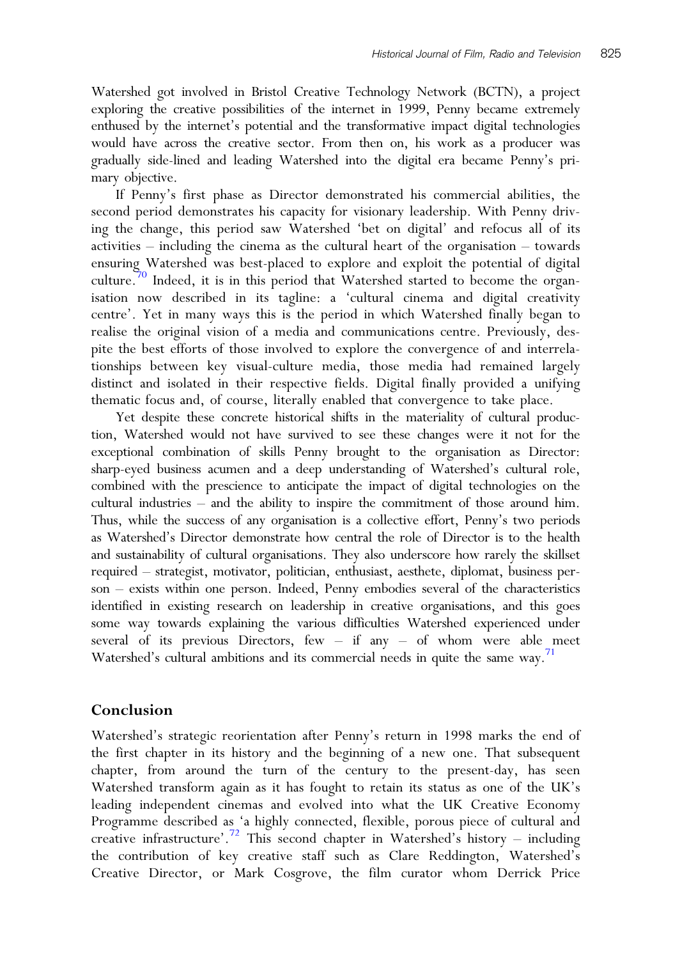Watershed got involved in Bristol Creative Technology Network (BCTN), a project exploring the creative possibilities of the internet in 1999, Penny became extremely enthused by the internet's potential and the transformative impact digital technologies would have across the creative sector. From then on, his work as a producer was gradually side-lined and leading Watershed into the digital era became Penny's primary objective.

If Penny's first phase as Director demonstrated his commercial abilities, the second period demonstrates his capacity for visionary leadership. With Penny driving the change, this period saw Watershed 'bet on digital' and refocus all of its activities – including the cinema as the cultural heart of the organisation – towards ensuring Watershed was best-placed to explore and exploit the potential of digital culture.<sup>[70](#page-29-0)</sup> Indeed, it is in this period that Watershed started to become the organisation now described in its tagline: a 'cultural cinema and digital creativity centre'. Yet in many ways this is the period in which Watershed finally began to realise the original vision of a media and communications centre. Previously, despite the best efforts of those involved to explore the convergence of and interrelationships between key visual-culture media, those media had remained largely distinct and isolated in their respective fields. Digital finally provided a unifying thematic focus and, of course, literally enabled that convergence to take place.

Yet despite these concrete historical shifts in the materiality of cultural production, Watershed would not have survived to see these changes were it not for the exceptional combination of skills Penny brought to the organisation as Director: sharp-eyed business acumen and a deep understanding of Watershed's cultural role, combined with the prescience to anticipate the impact of digital technologies on the cultural industries – and the ability to inspire the commitment of those around him. Thus, while the success of any organisation is a collective effort, Penny's two periods as Watershed's Director demonstrate how central the role of Director is to the health and sustainability of cultural organisations. They also underscore how rarely the skillset required – strategist, motivator, politician, enthusiast, aesthete, diplomat, business person – exists within one person. Indeed, Penny embodies several of the characteristics identified in existing research on leadership in creative organisations, and this goes some way towards explaining the various difficulties Watershed experienced under several of its previous Directors, few – if any – of whom were able meet Watershed's cultural ambitions and its commercial needs in quite the same way.<sup>[71](#page-29-0)</sup>

## Conclusion

Watershed's strategic reorientation after Penny's return in 1998 marks the end of the first chapter in its history and the beginning of a new one. That subsequent chapter, from around the turn of the century to the present-day, has seen Watershed transform again as it has fought to retain its status as one of the UK's leading independent cinemas and evolved into what the UK Creative Economy Programme described as 'a highly connected, flexible, porous piece of cultural and creative infrastructure'. [72](#page-29-0) This second chapter in Watershed's history – including the contribution of key creative staff such as Clare Reddington, Watershed's Creative Director, or Mark Cosgrove, the film curator whom Derrick Price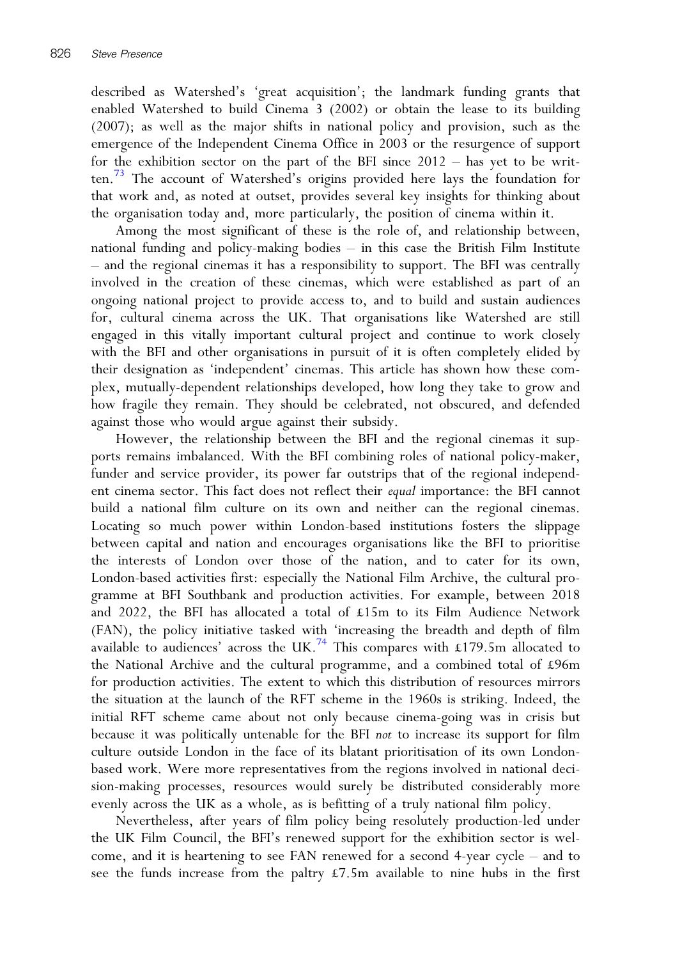described as Watershed's 'great acquisition'; the landmark funding grants that enabled Watershed to build Cinema 3 (2002) or obtain the lease to its building (2007); as well as the major shifts in national policy and provision, such as the emergence of the Independent Cinema Office in 2003 or the resurgence of support for the exhibition sector on the part of the BFI since 2012 – has yet to be written.[73](#page-29-0) The account of Watershed's origins provided here lays the foundation for that work and, as noted at outset, provides several key insights for thinking about the organisation today and, more particularly, the position of cinema within it.

Among the most significant of these is the role of, and relationship between, national funding and policy-making bodies – in this case the British Film Institute – and the regional cinemas it has a responsibility to support. The BFI was centrally involved in the creation of these cinemas, which were established as part of an ongoing national project to provide access to, and to build and sustain audiences for, cultural cinema across the UK. That organisations like Watershed are still engaged in this vitally important cultural project and continue to work closely with the BFI and other organisations in pursuit of it is often completely elided by their designation as 'independent' cinemas. This article has shown how these complex, mutually-dependent relationships developed, how long they take to grow and how fragile they remain. They should be celebrated, not obscured, and defended against those who would argue against their subsidy.

However, the relationship between the BFI and the regional cinemas it supports remains imbalanced. With the BFI combining roles of national policy-maker, funder and service provider, its power far outstrips that of the regional independent cinema sector. This fact does not reflect their equal importance: the BFI cannot build a national film culture on its own and neither can the regional cinemas. Locating so much power within London-based institutions fosters the slippage between capital and nation and encourages organisations like the BFI to prioritise the interests of London over those of the nation, and to cater for its own, London-based activities first: especially the National Film Archive, the cultural programme at BFI Southbank and production activities. For example, between 2018 and 2022, the BFI has allocated a total of £15m to its Film Audience Network (FAN), the policy initiative tasked with 'increasing the breadth and depth of film available to audiences' across the UK.<sup>74</sup> This compares with £179.5m allocated to the National Archive and the cultural programme, and a combined total of £96m for production activities. The extent to which this distribution of resources mirrors the situation at the launch of the RFT scheme in the 1960s is striking. Indeed, the initial RFT scheme came about not only because cinema-going was in crisis but because it was politically untenable for the BFI not to increase its support for film culture outside London in the face of its blatant prioritisation of its own Londonbased work. Were more representatives from the regions involved in national decision-making processes, resources would surely be distributed considerably more evenly across the UK as a whole, as is befitting of a truly national film policy.

Nevertheless, after years of film policy being resolutely production-led under the UK Film Council, the BFI's renewed support for the exhibition sector is welcome, and it is heartening to see FAN renewed for a second 4-year cycle – and to see the funds increase from the paltry £7.5m available to nine hubs in the first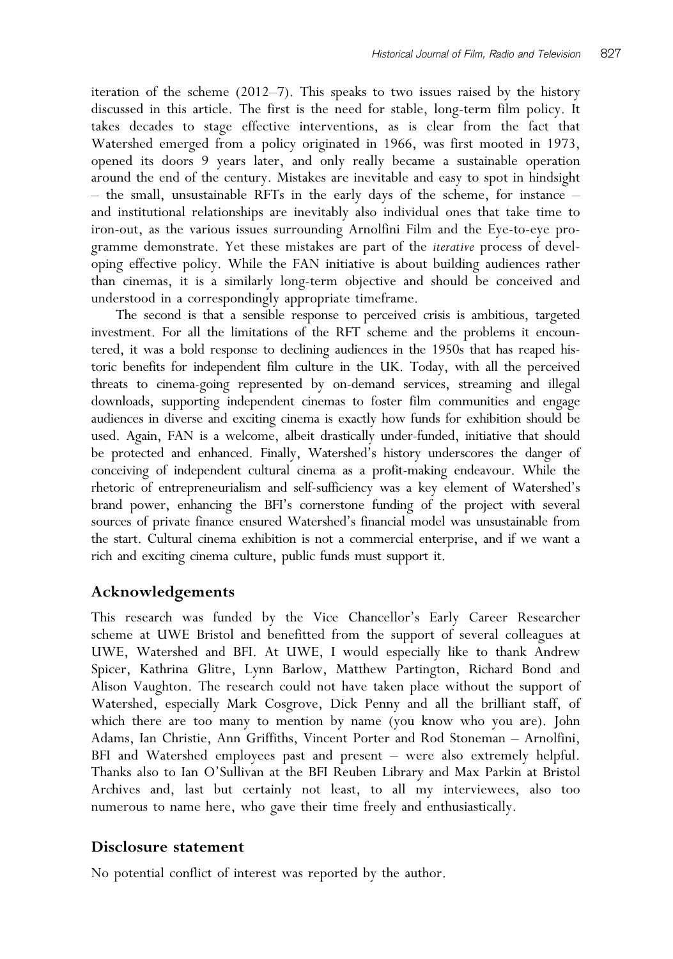iteration of the scheme (2012–7). This speaks to two issues raised by the history discussed in this article. The first is the need for stable, long-term film policy. It takes decades to stage effective interventions, as is clear from the fact that Watershed emerged from a policy originated in 1966, was first mooted in 1973, opened its doors 9 years later, and only really became a sustainable operation around the end of the century. Mistakes are inevitable and easy to spot in hindsight  $-$  the small, unsustainable RFTs in the early days of the scheme, for instance  $$ and institutional relationships are inevitably also individual ones that take time to iron-out, as the various issues surrounding Arnolfini Film and the Eye-to-eye programme demonstrate. Yet these mistakes are part of the iterative process of developing effective policy. While the FAN initiative is about building audiences rather than cinemas, it is a similarly long-term objective and should be conceived and understood in a correspondingly appropriate timeframe.

The second is that a sensible response to perceived crisis is ambitious, targeted investment. For all the limitations of the RFT scheme and the problems it encountered, it was a bold response to declining audiences in the 1950s that has reaped historic benefits for independent film culture in the UK. Today, with all the perceived threats to cinema-going represented by on-demand services, streaming and illegal downloads, supporting independent cinemas to foster film communities and engage audiences in diverse and exciting cinema is exactly how funds for exhibition should be used. Again, FAN is a welcome, albeit drastically under-funded, initiative that should be protected and enhanced. Finally, Watershed's history underscores the danger of conceiving of independent cultural cinema as a profit-making endeavour. While the rhetoric of entrepreneurialism and self-sufficiency was a key element of Watershed's brand power, enhancing the BFI's cornerstone funding of the project with several sources of private finance ensured Watershed's financial model was unsustainable from the start. Cultural cinema exhibition is not a commercial enterprise, and if we want a rich and exciting cinema culture, public funds must support it.

#### Acknowledgements

This research was funded by the Vice Chancellor's Early Career Researcher scheme at UWE Bristol and benefitted from the support of several colleagues at UWE, Watershed and BFI. At UWE, I would especially like to thank Andrew Spicer, Kathrina Glitre, Lynn Barlow, Matthew Partington, Richard Bond and Alison Vaughton. The research could not have taken place without the support of Watershed, especially Mark Cosgrove, Dick Penny and all the brilliant staff, of which there are too many to mention by name (you know who you are). John Adams, Ian Christie, Ann Griffiths, Vincent Porter and Rod Stoneman – Arnolfini, BFI and Watershed employees past and present – were also extremely helpful. Thanks also to Ian O'Sullivan at the BFI Reuben Library and Max Parkin at Bristol Archives and, last but certainly not least, to all my interviewees, also too numerous to name here, who gave their time freely and enthusiastically.

#### Disclosure statement

No potential conflict of interest was reported by the author.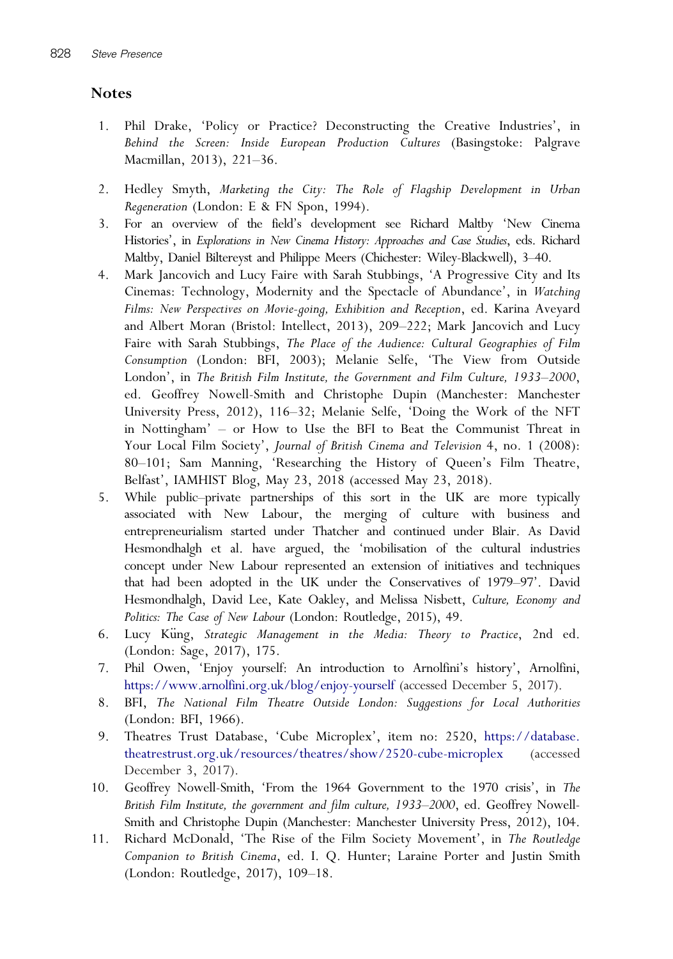## <span id="page-26-0"></span>Notes

- 1. Phil Drake, 'Policy or Practice? Deconstructing the Creative Industries', in Behind the Screen: Inside European Production Cultures (Basingstoke: Palgrave Macmillan, 2013), 221–36.
- 2. Hedley Smyth, Marketing the City: The Role of Flagship Development in Urban Regeneration (London: E & FN Spon, 1994).
- 3. For an overview of the field's development see Richard Maltby 'New Cinema Histories', in Explorations in New Cinema History: Approaches and Case Studies, eds. Richard Maltby, Daniel Biltereyst and Philippe Meers (Chichester: Wiley-Blackwell), 3–40.
- 4. Mark Jancovich and Lucy Faire with Sarah Stubbings, 'A Progressive City and Its Cinemas: Technology, Modernity and the Spectacle of Abundance', in Watching Films: New Perspectives on Movie-going, Exhibition and Reception, ed. Karina Aveyard and Albert Moran (Bristol: Intellect, 2013), 209–222; Mark Jancovich and Lucy Faire with Sarah Stubbings, The Place of the Audience: Cultural Geographies of Film Consumption (London: BFI, 2003); Melanie Selfe, 'The View from Outside London', in The British Film Institute, the Government and Film Culture, 1933–2000, ed. Geoffrey Nowell-Smith and Christophe Dupin (Manchester: Manchester University Press, 2012), 116–32; Melanie Selfe, 'Doing the Work of the NFT in Nottingham' – or How to Use the BFI to Beat the Communist Threat in Your Local Film Society', Journal of British Cinema and Television 4, no. 1 (2008): 80–101; Sam Manning, 'Researching the History of Queen's Film Theatre, Belfast', IAMHIST Blog, May 23, 2018 (accessed May 23, 2018).
- 5. While public–private partnerships of this sort in the UK are more typically associated with New Labour, the merging of culture with business and entrepreneurialism started under Thatcher and continued under Blair. As David Hesmondhalgh et al. have argued, the 'mobilisation of the cultural industries concept under New Labour represented an extension of initiatives and techniques that had been adopted in the UK under the Conservatives of 1979–97'. David Hesmondhalgh, David Lee, Kate Oakley, and Melissa Nisbett, Culture, Economy and Politics: The Case of New Labour (London: Routledge, 2015), 49.
- 6. Lucy Küng, Strategic Management in the Media: Theory to Practice, 2nd ed. (London: Sage, 2017), 175.
- 7. Phil Owen, 'Enjoy yourself: An introduction to Arnolfini's history', Arnolfini, <https://www.arnolfini.org.uk/blog/enjoy-yourself> (accessed December 5, 2017).
- 8. BFI, The National Film Theatre Outside London: Suggestions for Local Authorities (London: BFI, 1966).
- 9. Theatres Trust Database, 'Cube Microplex', item no: 2520, [https://database.](https://database.theatrestrust.org.uk/resources/theatres/show/2520-cube-microplex) [theatrestrust.org.uk/resources/theatres/show/2520-cube-microplex](https://database.theatrestrust.org.uk/resources/theatres/show/2520-cube-microplex) (accessed December 3, 2017).
- 10. Geoffrey Nowell-Smith, 'From the 1964 Government to the 1970 crisis', in The British Film Institute, the government and film culture, 1933–2000, ed. Geoffrey Nowell-Smith and Christophe Dupin (Manchester: Manchester University Press, 2012), 104.
- 11. Richard McDonald, 'The Rise of the Film Society Movement', in The Routledge Companion to British Cinema, ed. I. Q. Hunter; Laraine Porter and Justin Smith (London: Routledge, 2017), 109–18.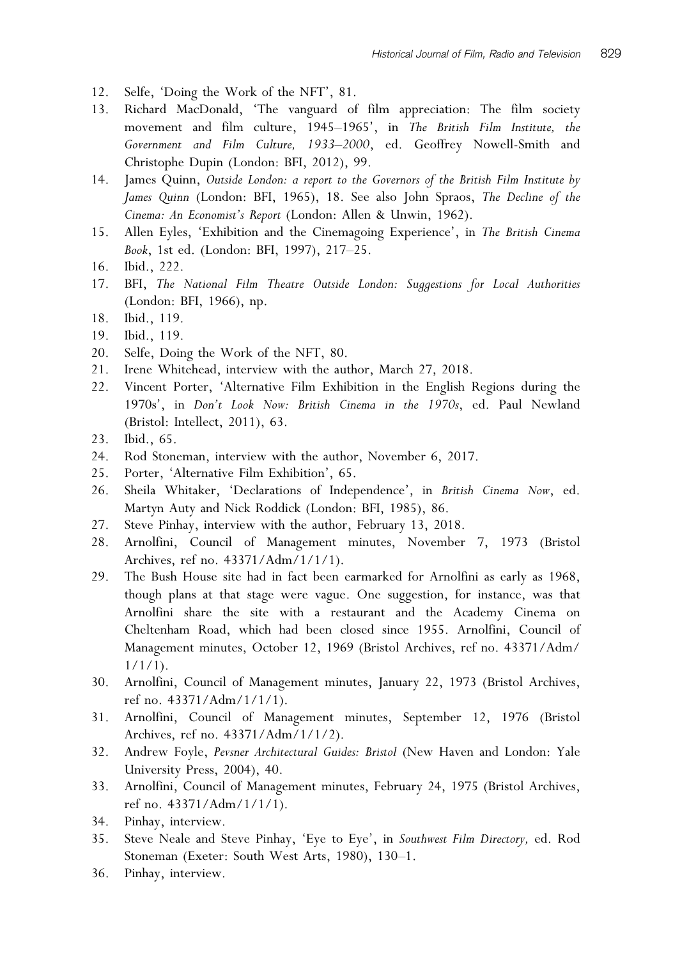- <span id="page-27-0"></span>12. Selfe, 'Doing the Work of the NFT', 81.
- 13. Richard MacDonald, 'The vanguard of film appreciation: The film society movement and film culture, 1945–1965', in The British Film Institute, the Government and Film Culture, 1933–2000, ed. Geoffrey Nowell-Smith and Christophe Dupin (London: BFI, 2012), 99.
- 14. James Quinn, Outside London: a report to the Governors of the British Film Institute by James Quinn (London: BFI, 1965), 18. See also John Spraos, The Decline of the Cinema: An Economist's Report (London: Allen & Unwin, 1962).
- 15. Allen Eyles, 'Exhibition and the Cinemagoing Experience', in The British Cinema Book, 1st ed. (London: BFI, 1997), 217–25.
- 16. Ibid., 222.
- 17. BFI, The National Film Theatre Outside London: Suggestions for Local Authorities (London: BFI, 1966), np.
- 18. Ibid., 119.
- 19. Ibid., 119.
- 20. Selfe, Doing the Work of the NFT, 80.
- 21. Irene Whitehead, interview with the author, March 27, 2018.
- 22. Vincent Porter, 'Alternative Film Exhibition in the English Regions during the 1970s', in Don't Look Now: British Cinema in the 1970s, ed. Paul Newland (Bristol: Intellect, 2011), 63.
- 23. Ibid., 65.
- 24. Rod Stoneman, interview with the author, November 6, 2017.
- 25. Porter, 'Alternative Film Exhibition', 65.
- 26. Sheila Whitaker, 'Declarations of Independence', in British Cinema Now, ed. Martyn Auty and Nick Roddick (London: BFI, 1985), 86.
- 27. Steve Pinhay, interview with the author, February 13, 2018.
- 28. Arnolfini, Council of Management minutes, November 7, 1973 (Bristol Archives, ref no. 43371/Adm/1/1/1).
- 29. The Bush House site had in fact been earmarked for Arnolfini as early as 1968, though plans at that stage were vague. One suggestion, for instance, was that Arnolfini share the site with a restaurant and the Academy Cinema on Cheltenham Road, which had been closed since 1955. Arnolfini, Council of Management minutes, October 12, 1969 (Bristol Archives, ref no. 43371/Adm/  $1/1/1$ ).
- 30. Arnolfini, Council of Management minutes, January 22, 1973 (Bristol Archives, ref no. 43371/Adm/1/1/1).
- 31. Arnolfini, Council of Management minutes, September 12, 1976 (Bristol Archives, ref no. 43371/Adm/1/1/2).
- 32. Andrew Foyle, Pevsner Architectural Guides: Bristol (New Haven and London: Yale University Press, 2004), 40.
- 33. Arnolfini, Council of Management minutes, February 24, 1975 (Bristol Archives, ref no. 43371/Adm/1/1/1).
- 34. Pinhay, interview.
- 35. Steve Neale and Steve Pinhay, 'Eye to Eye', in Southwest Film Directory, ed. Rod Stoneman (Exeter: South West Arts, 1980), 130–1.
- 36. Pinhay, interview.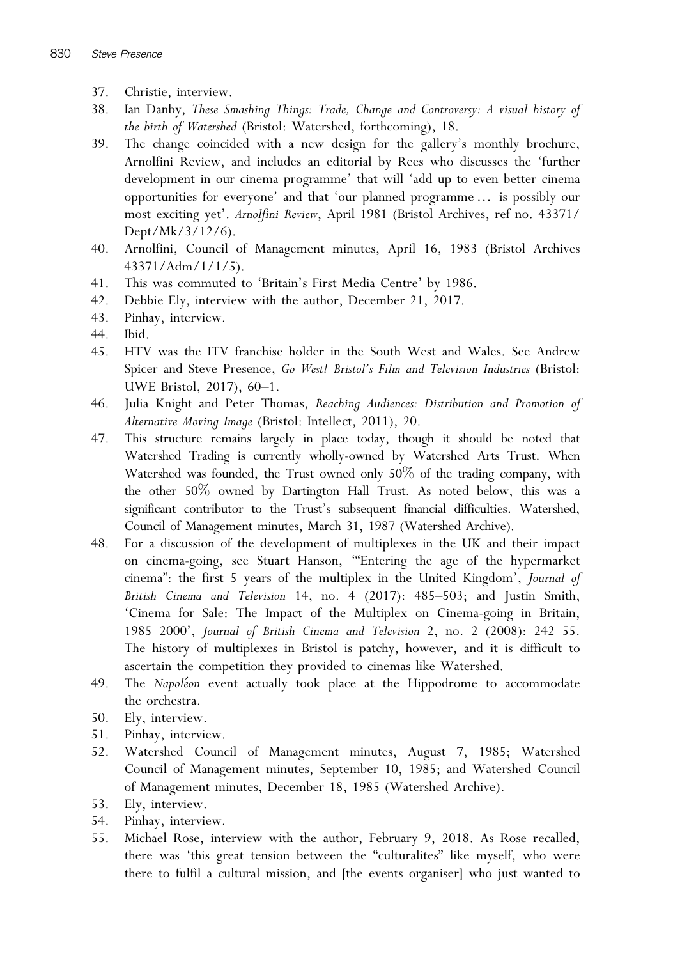- <span id="page-28-0"></span>37. Christie, interview.
- 38. Ian Danby, These Smashing Things: Trade, Change and Controversy: A visual history of the birth of Watershed (Bristol: Watershed, forthcoming), 18.
- 39. The change coincided with a new design for the gallery's monthly brochure, Arnolfini Review, and includes an editorial by Rees who discusses the 'further development in our cinema programme' that will 'add up to even better cinema opportunities for everyone' and that 'our planned programme… is possibly our most exciting yet'. Arnolfini Review, April 1981 (Bristol Archives, ref no. 43371/ Dept/Mk/3/12/6).
- 40. Arnolfini, Council of Management minutes, April 16, 1983 (Bristol Archives 43371/Adm/1/1/5).
- 41. This was commuted to 'Britain's First Media Centre' by 1986.
- 42. Debbie Ely, interview with the author, December 21, 2017.
- 43. Pinhay, interview.
- 44. Ibid.
- 45. HTV was the ITV franchise holder in the South West and Wales. See Andrew Spicer and Steve Presence, Go West! Bristol's Film and Television Industries (Bristol: UWE Bristol, 2017), 60–1.
- 46. Julia Knight and Peter Thomas, Reaching Audiences: Distribution and Promotion of Alternative Moving Image (Bristol: Intellect, 2011), 20.
- 47. This structure remains largely in place today, though it should be noted that Watershed Trading is currently wholly-owned by Watershed Arts Trust. When Watershed was founded, the Trust owned only 50% of the trading company, with the other 50% owned by Dartington Hall Trust. As noted below, this was a significant contributor to the Trust's subsequent financial difficulties. Watershed, Council of Management minutes, March 31, 1987 (Watershed Archive).
- 48. For a discussion of the development of multiplexes in the UK and their impact on cinema-going, see Stuart Hanson, '"Entering the age of the hypermarket cinema": the first 5 years of the multiplex in the United Kingdom', Journal of British Cinema and Television 14, no. 4 (2017): 485–503; and Justin Smith, 'Cinema for Sale: The Impact of the Multiplex on Cinema-going in Britain, 1985–2000', Journal of British Cinema and Television 2, no. 2 (2008): 242–55. The history of multiplexes in Bristol is patchy, however, and it is difficult to ascertain the competition they provided to cinemas like Watershed.
- 49. The Napoléon event actually took place at the Hippodrome to accommodate the orchestra.
- 50. Ely, interview.
- 51. Pinhay, interview.
- 52. Watershed Council of Management minutes, August 7, 1985; Watershed Council of Management minutes, September 10, 1985; and Watershed Council of Management minutes, December 18, 1985 (Watershed Archive).
- 53. Ely, interview.
- 54. Pinhay, interview.
- 55. Michael Rose, interview with the author, February 9, 2018. As Rose recalled, there was 'this great tension between the "culturalites" like myself, who were there to fulfil a cultural mission, and [the events organiser] who just wanted to